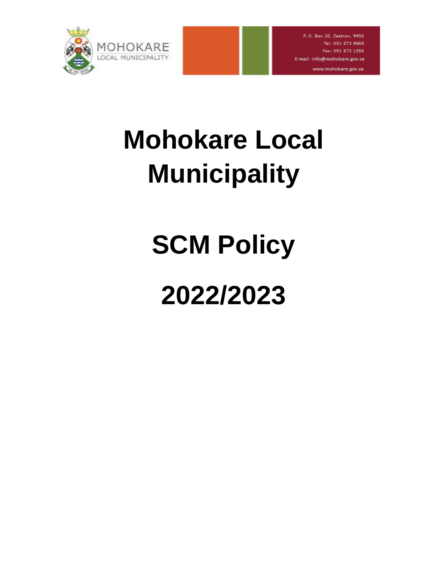

# **Mohokare Local Municipality**

# **SCM Policy**

# **2022/2023**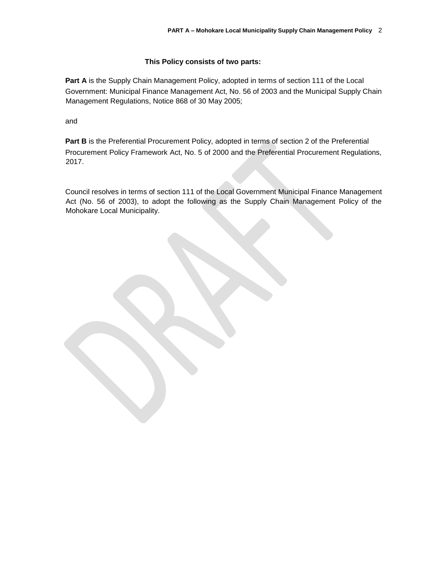## **This Policy consists of two parts:**

Part A is the Supply Chain Management Policy, adopted in terms of section 111 of the Local Government: Municipal Finance Management Act, No. 56 of 2003 and the Municipal Supply Chain Management Regulations, Notice 868 of 30 May 2005;

and

Part B is the Preferential Procurement Policy, adopted in terms of section 2 of the Preferential Procurement Policy Framework Act, No. 5 of 2000 and the Preferential Procurement Regulations, 2017.

Council resolves in terms of section 111 of the Local Government Municipal Finance Management Act (No. 56 of 2003), to adopt the following as the Supply Chain Management Policy of the Mohokare Local Municipality.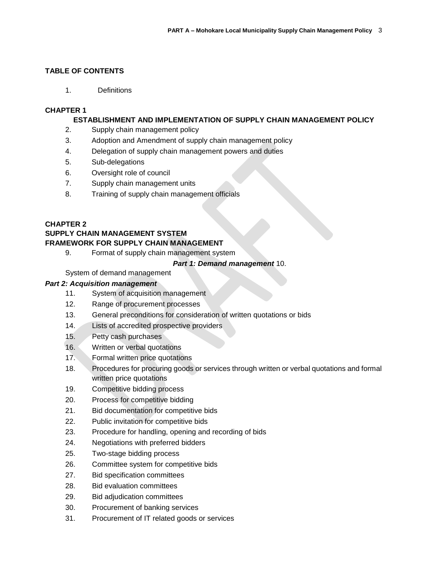## **TABLE OF CONTENTS**

1. Definitions

## **CHAPTER 1**

## **ESTABLISHMENT AND IMPLEMENTATION OF SUPPLY CHAIN MANAGEMENT POLICY**

- 2. Supply chain management policy
- 3. Adoption and Amendment of supply chain management policy
- 4. Delegation of supply chain management powers and duties
- 5. Sub-delegations
- 6. Oversight role of council
- 7. Supply chain management units
- 8. Training of supply chain management officials

## **CHAPTER 2**

# **SUPPLY CHAIN MANAGEMENT SYSTEM FRAMEWORK FOR SUPPLY CHAIN MANAGEMENT**

9. Format of supply chain management system

## *Part 1: Demand management* 10.

System of demand management

## *Part 2: Acquisition management*

- 11. System of acquisition management
- 12. Range of procurement processes
- 13. General preconditions for consideration of written quotations or bids
- 14. Lists of accredited prospective providers
- 15. Petty cash purchases
- 16. Written or verbal quotations
- 17. Formal written price quotations
- 18. Procedures for procuring goods or services through written or verbal quotations and formal written price quotations
- 19. Competitive bidding process
- 20. Process for competitive bidding
- 21. Bid documentation for competitive bids
- 22. Public invitation for competitive bids
- 23. Procedure for handling, opening and recording of bids
- 24. Negotiations with preferred bidders
- 25. Two-stage bidding process
- 26. Committee system for competitive bids
- 27. Bid specification committees
- 28. Bid evaluation committees
- 29. Bid adjudication committees
- 30. Procurement of banking services
- 31. Procurement of IT related goods or services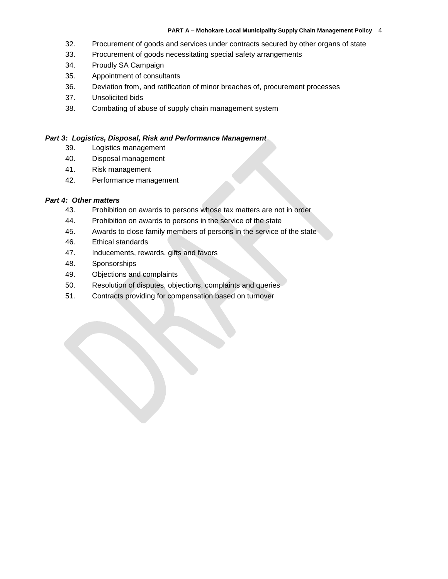#### **PART A – Mohokare Local Municipality Supply Chain Management Policy** 4

- 32. Procurement of goods and services under contracts secured by other organs of state
- 33. Procurement of goods necessitating special safety arrangements
- 34. Proudly SA Campaign
- 35. Appointment of consultants
- 36. Deviation from, and ratification of minor breaches of, procurement processes
- 37. Unsolicited bids
- 38. Combating of abuse of supply chain management system

## *Part 3: Logistics, Disposal, Risk and Performance Management*

- 39. Logistics management
- 40. Disposal management
- 41. Risk management
- 42. Performance management

#### *Part 4: Other matters*

- 43. Prohibition on awards to persons whose tax matters are not in order
- 44. Prohibition on awards to persons in the service of the state
- 45. Awards to close family members of persons in the service of the state
- 46. Ethical standards
- 47. Inducements, rewards, gifts and favors
- 48. Sponsorships
- 49. Objections and complaints
- 50. Resolution of disputes, objections, complaints and queries
- 51. Contracts providing for compensation based on turnover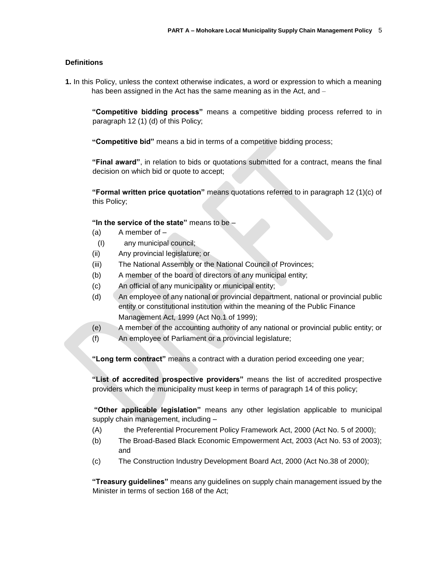## **Definitions**

**1.** In this Policy, unless the context otherwise indicates, a word or expression to which a meaning has been assigned in the Act has the same meaning as in the Act, and –

**"Competitive bidding process"** means a competitive bidding process referred to in paragraph 12 (1) (d) of this Policy;

**"Competitive bid"** means a bid in terms of a competitive bidding process;

**"Final award"**, in relation to bids or quotations submitted for a contract, means the final decision on which bid or quote to accept;

**"Formal written price quotation"** means quotations referred to in paragraph 12 (1)(c) of this Policy;

**"In the service of the state"** means to be –

- $(a)$  A member of  $-$
- (I) any municipal council;
- (ii) Any provincial legislature; or
- (iii) The National Assembly or the National Council of Provinces;
- (b) A member of the board of directors of any municipal entity;
- (c) An official of any municipality or municipal entity;
- (d) An employee of any national or provincial department, national or provincial public entity or constitutional institution within the meaning of the Public Finance Management Act, 1999 (Act No.1 of 1999);
- (e) A member of the accounting authority of any national or provincial public entity; or
- (f) An employee of Parliament or a provincial legislature;

**"Long term contract"** means a contract with a duration period exceeding one year;

**"List of accredited prospective providers"** means the list of accredited prospective providers which the municipality must keep in terms of paragraph 14 of this policy;

**"Other applicable legislation"** means any other legislation applicable to municipal supply chain management, including –

- (A) the Preferential Procurement Policy Framework Act, 2000 (Act No. 5 of 2000);
- (b) The Broad-Based Black Economic Empowerment Act, 2003 (Act No. 53 of 2003); and
- (c) The Construction Industry Development Board Act, 2000 (Act No.38 of 2000);

**"Treasury guidelines"** means any guidelines on supply chain management issued by the Minister in terms of section 168 of the Act;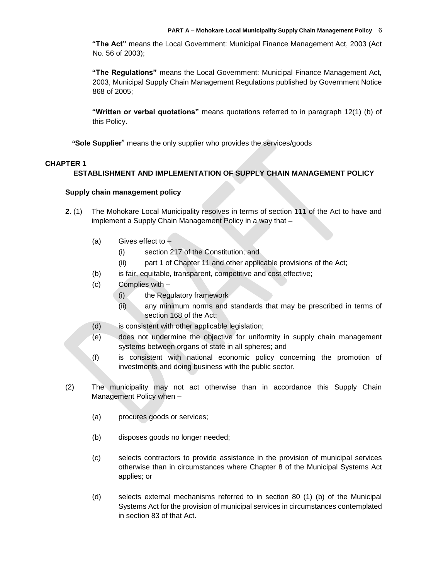**"The Act"** means the Local Government: Municipal Finance Management Act, 2003 (Act No. 56 of 2003);

**"The Regulations"** means the Local Government: Municipal Finance Management Act, 2003, Municipal Supply Chain Management Regulations published by Government Notice 868 of 2005;

**"Written or verbal quotations"** means quotations referred to in paragraph 12(1) (b) of this Policy.

*"***Sole Supplier**" means the only supplier who provides the services/goods

## **CHAPTER 1**

## **ESTABLISHMENT AND IMPLEMENTATION OF SUPPLY CHAIN MANAGEMENT POLICY**

## **Supply chain management policy**

- **2.** (1) The Mohokare Local Municipality resolves in terms of section 111 of the Act to have and implement a Supply Chain Management Policy in a way that –
	- (a) Gives effect to  $-$ 
		- (i) section 217 of the Constitution; and
		- (ii) part 1 of Chapter 11 and other applicable provisions of the Act;
	- (b) is fair, equitable, transparent, competitive and cost effective;
	- (c) Complies with
		- (i) the Regulatory framework
		- (ii) any minimum norms and standards that may be prescribed in terms of section 168 of the Act;
	- (d) is consistent with other applicable legislation;
	- (e) does not undermine the objective for uniformity in supply chain management systems between organs of state in all spheres; and
	- (f) is consistent with national economic policy concerning the promotion of investments and doing business with the public sector.
- (2) The municipality may not act otherwise than in accordance this Supply Chain Management Policy when –
	- (a) procures goods or services;
	- (b) disposes goods no longer needed;
	- (c) selects contractors to provide assistance in the provision of municipal services otherwise than in circumstances where Chapter 8 of the Municipal Systems Act applies; or
	- (d) selects external mechanisms referred to in section 80 (1) (b) of the Municipal Systems Act for the provision of municipal services in circumstances contemplated in section 83 of that Act.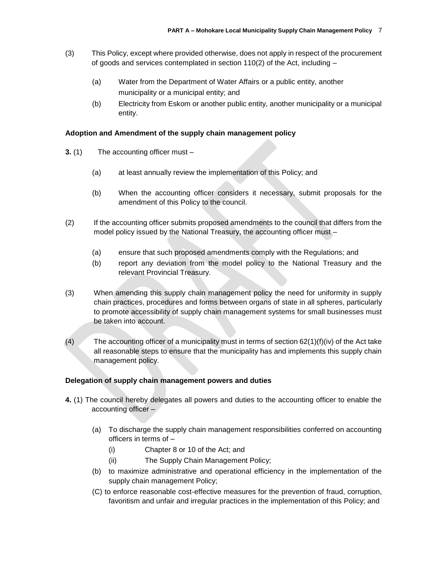- (3) This Policy, except where provided otherwise, does not apply in respect of the procurement of goods and services contemplated in section 110(2) of the Act, including –
	- (a) Water from the Department of Water Affairs or a public entity, another municipality or a municipal entity; and
	- (b) Electricity from Eskom or another public entity, another municipality or a municipal entity.

## **Adoption and Amendment of the supply chain management policy**

- **3.** (1) The accounting officer must
	- (a) at least annually review the implementation of this Policy; and
	- (b) When the accounting officer considers it necessary, submit proposals for the amendment of this Policy to the council.
- (2) If the accounting officer submits proposed amendments to the council that differs from the model policy issued by the National Treasury, the accounting officer must –
	- (a) ensure that such proposed amendments comply with the Regulations; and
	- (b) report any deviation from the model policy to the National Treasury and the relevant Provincial Treasury.
- (3) When amending this supply chain management policy the need for uniformity in supply chain practices, procedures and forms between organs of state in all spheres, particularly to promote accessibility of supply chain management systems for small businesses must be taken into account.
- (4) The accounting officer of a municipality must in terms of section  $62(1)(f)(iv)$  of the Act take all reasonable steps to ensure that the municipality has and implements this supply chain management policy.

#### **Delegation of supply chain management powers and duties**

- **4.** (1) The council hereby delegates all powers and duties to the accounting officer to enable the accounting officer –
	- (a) To discharge the supply chain management responsibilities conferred on accounting officers in terms of –
		- (i) Chapter 8 or 10 of the Act; and
		- (ii) The Supply Chain Management Policy;
	- (b) to maximize administrative and operational efficiency in the implementation of the supply chain management Policy;
	- (C) to enforce reasonable cost-effective measures for the prevention of fraud, corruption, favoritism and unfair and irregular practices in the implementation of this Policy; and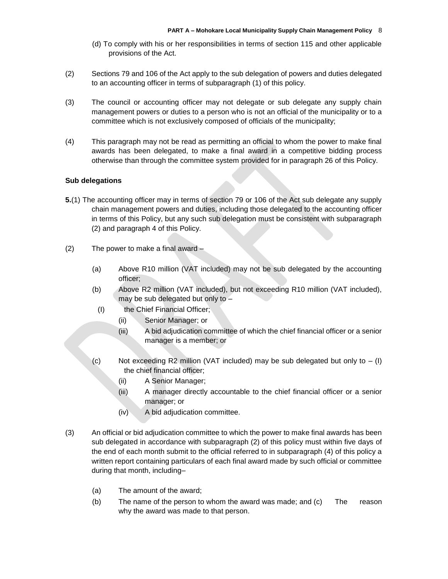- (d) To comply with his or her responsibilities in terms of section 115 and other applicable provisions of the Act.
- (2) Sections 79 and 106 of the Act apply to the sub delegation of powers and duties delegated to an accounting officer in terms of subparagraph (1) of this policy.
- (3) The council or accounting officer may not delegate or sub delegate any supply chain management powers or duties to a person who is not an official of the municipality or to a committee which is not exclusively composed of officials of the municipality;
- (4) This paragraph may not be read as permitting an official to whom the power to make final awards has been delegated, to make a final award in a competitive bidding process otherwise than through the committee system provided for in paragraph 26 of this Policy.

## **Sub delegations**

- **5.**(1) The accounting officer may in terms of section 79 or 106 of the Act sub delegate any supply chain management powers and duties, including those delegated to the accounting officer in terms of this Policy, but any such sub delegation must be consistent with subparagraph (2) and paragraph 4 of this Policy.
- (2) The power to make a final award
	- (a) Above R10 million (VAT included) may not be sub delegated by the accounting officer;
	- (b) Above R2 million (VAT included), but not exceeding R10 million (VAT included), may be sub delegated but only to –
		- (I) the Chief Financial Officer;
			- (ii) Senior Manager; or
			- (iii) A bid adjudication committee of which the chief financial officer or a senior manager is a member; or
	- (c) Not exceeding R2 million (VAT included) may be sub delegated but only to  $-$  (I) the chief financial officer;
		- (ii) A Senior Manager;
		- (iii) A manager directly accountable to the chief financial officer or a senior manager; or
		- (iv) A bid adjudication committee.
- (3) An official or bid adjudication committee to which the power to make final awards has been sub delegated in accordance with subparagraph (2) of this policy must within five days of the end of each month submit to the official referred to in subparagraph (4) of this policy a written report containing particulars of each final award made by such official or committee during that month, including–
	- (a) The amount of the award;
	- (b) The name of the person to whom the award was made; and (c) The reason why the award was made to that person.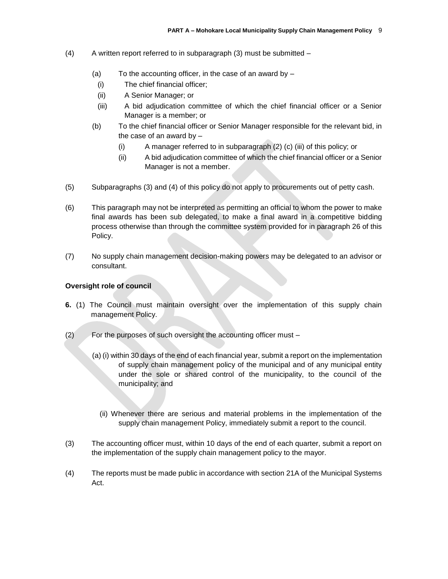- (4) A written report referred to in subparagraph (3) must be submitted
	- (a) To the accounting officer, in the case of an award by  $-$ 
		- (i) The chief financial officer;
	- (ii) A Senior Manager; or
	- (iii) A bid adjudication committee of which the chief financial officer or a Senior Manager is a member; or
	- (b) To the chief financial officer or Senior Manager responsible for the relevant bid, in the case of an award by  $-$ 
		- (i) A manager referred to in subparagraph (2) (c) (iii) of this policy; or
		- (ii) A bid adjudication committee of which the chief financial officer or a Senior Manager is not a member.
- (5) Subparagraphs (3) and (4) of this policy do not apply to procurements out of petty cash.
- (6) This paragraph may not be interpreted as permitting an official to whom the power to make final awards has been sub delegated, to make a final award in a competitive bidding process otherwise than through the committee system provided for in paragraph 26 of this Policy.
- (7) No supply chain management decision-making powers may be delegated to an advisor or consultant.

## **Oversight role of council**

- **6.** (1) The Council must maintain oversight over the implementation of this supply chain management Policy.
- (2) For the purposes of such oversight the accounting officer must
	- (a) (i) within 30 days of the end of each financial year, submit a report on the implementation of supply chain management policy of the municipal and of any municipal entity under the sole or shared control of the municipality, to the council of the municipality; and
		- (ii) Whenever there are serious and material problems in the implementation of the supply chain management Policy, immediately submit a report to the council*.*
- (3) The accounting officer must, within 10 days of the end of each quarter, submit a report on the implementation of the supply chain management policy to the mayor.
- (4) The reports must be made public in accordance with section 21A of the Municipal Systems Act.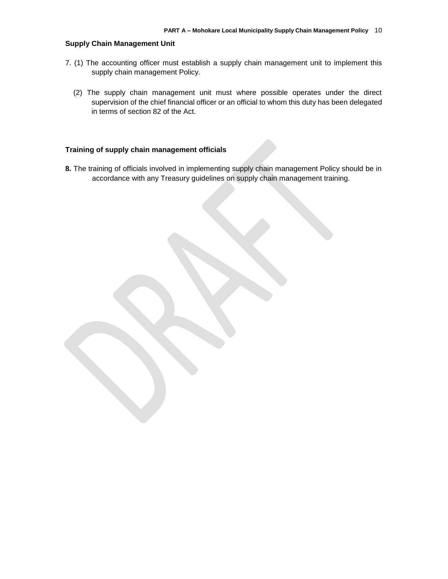#### **Supply Chain Management Unit**

- 7. (1) The accounting officer must establish a supply chain management unit to implement this supply chain management Policy.
	- (2) The supply chain management unit must where possible operates under the direct supervision of the chief financial officer or an official to whom this duty has been delegated in terms of section 82 of the Act.

## **Training of supply chain management officials**

8. The training of officials involved in implementing supply chain management Policy should be in accordance with any Treasury guidelines on supply chain management training.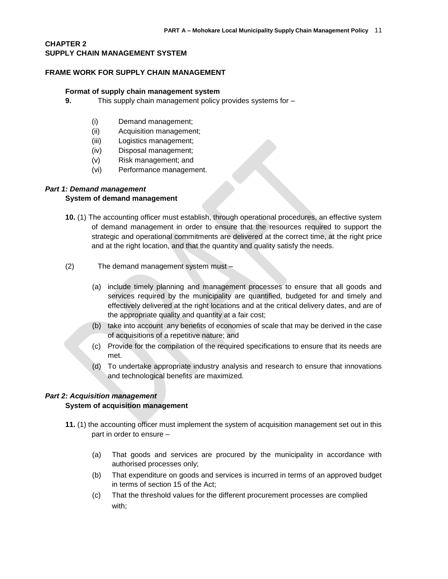## **CHAPTER 2 SUPPLY CHAIN MANAGEMENT SYSTEM**

#### **FRAME WORK FOR SUPPLY CHAIN MANAGEMENT**

#### **Format of supply chain management system**

- **9.** This supply chain management policy provides systems for
	- (i) Demand management;
	- (ii) Acquisition management;
	- (iii) Logistics management;
	- (iv) Disposal management;
	- (v) Risk management; and
	- (vi) Performance management.

#### *Part 1: Demand management*

#### **System of demand management**

- **10.** (1) The accounting officer must establish, through operational procedures, an effective system of demand management in order to ensure that the resources required to support the strategic and operational commitments are delivered at the correct time, at the right price and at the right location, and that the quantity and quality satisfy the needs.
- (2) The demand management system must
	- (a) include timely planning and management processes to ensure that all goods and services required by the municipality are quantified, budgeted for and timely and effectively delivered at the right locations and at the critical delivery dates, and are of the appropriate quality and quantity at a fair cost;
	- (b) take into account any benefits of economies of scale that may be derived in the case of acquisitions of a repetitive nature; and
	- (c) Provide for the compilation of the required specifications to ensure that its needs are met.
	- (d) To undertake appropriate industry analysis and research to ensure that innovations and technological benefits are maximized.

## *Part 2: Acquisition management*

## **System of acquisition management**

- **11.** (1) the accounting officer must implement the system of acquisition management set out in this part in order to ensure –
	- (a) That goods and services are procured by the municipality in accordance with authorised processes only;
	- (b) That expenditure on goods and services is incurred in terms of an approved budget in terms of section 15 of the Act;
	- (c) That the threshold values for the different procurement processes are complied with;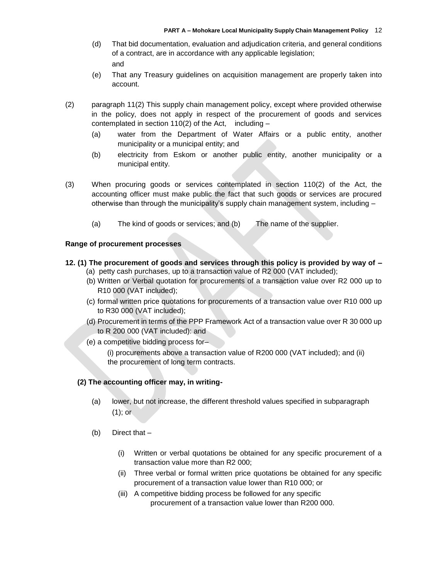- (d) That bid documentation, evaluation and adjudication criteria, and general conditions of a contract, are in accordance with any applicable legislation; and
- (e) That any Treasury guidelines on acquisition management are properly taken into account.
- (2) paragraph 11(2) This supply chain management policy, except where provided otherwise in the policy, does not apply in respect of the procurement of goods and services contemplated in section  $110(2)$  of the Act, including –
	- (a) water from the Department of Water Affairs or a public entity, another municipality or a municipal entity; and
	- (b) electricity from Eskom or another public entity, another municipality or a municipal entity.
- (3) When procuring goods or services contemplated in section 110(2) of the Act, the accounting officer must make public the fact that such goods or services are procured otherwise than through the municipality's supply chain management system, including –
	- (a) The kind of goods or services; and (b) The name of the supplier.

#### **Range of procurement processes**

## **12. (1) The procurement of goods and services through this policy is provided by way of** *–*

- (a) petty cash purchases, up to a transaction value of R2 000 (VAT included);
- (b) Written or Verbal quotation for procurements of a transaction value over R2 000 up to R10 000 (VAT included);
- (c) formal written price quotations for procurements of a transaction value over R10 000 up to R30 000 (VAT included);
- (d) Procurement in terms of the PPP Framework Act of a transaction value over R 30 000 up to R 200 000 (VAT included): and
- (e) a competitive bidding process for–

(i) procurements above a transaction value of R200 000 (VAT included); and (ii) the procurement of long term contracts.

#### **(2) The accounting officer may, in writing-**

- (a) lower, but not increase, the different threshold values specified in subparagraph (1); or
- (b) Direct that
	- (i) Written or verbal quotations be obtained for any specific procurement of a transaction value more than R2 000;
	- (ii) Three verbal or formal written price quotations be obtained for any specific procurement of a transaction value lower than R10 000; or
	- (iii) A competitive bidding process be followed for any specific procurement of a transaction value lower than R200 000.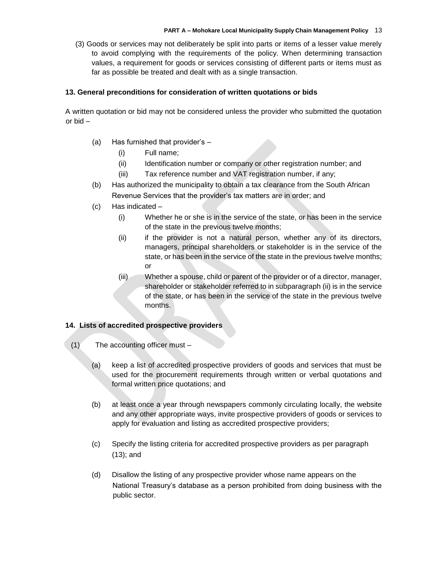(3) Goods or services may not deliberately be split into parts or items of a lesser value merely to avoid complying with the requirements of the policy. When determining transaction values, a requirement for goods or services consisting of different parts or items must as far as possible be treated and dealt with as a single transaction.

#### **13. General preconditions for consideration of written quotations or bids**

A written quotation or bid may not be considered unless the provider who submitted the quotation or bid –

- (a) Has furnished that provider's
	- (i) Full name;
	- (ii) Identification number or company or other registration number; and
	- (iii) Tax reference number and VAT registration number, if any;
- (b) Has authorized the municipality to obtain a tax clearance from the South African Revenue Services that the provider's tax matters are in order; and
- (c) Has indicated
	- (i) Whether he or she is in the service of the state, or has been in the service of the state in the previous twelve months;
	- (ii) if the provider is not a natural person, whether any of its directors, managers, principal shareholders or stakeholder is in the service of the state, or has been in the service of the state in the previous twelve months; or
	- (iii) Whether a spouse, child or parent of the provider or of a director, manager, shareholder or stakeholder referred to in subparagraph (ii) is in the service of the state, or has been in the service of the state in the previous twelve months.

## **14. Lists of accredited prospective providers**

- (1) The accounting officer must
	- (a) keep a list of accredited prospective providers of goods and services that must be used for the procurement requirements through written or verbal quotations and formal written price quotations; and
	- (b) at least once a year through newspapers commonly circulating locally, the website and any other appropriate ways, invite prospective providers of goods or services to apply for evaluation and listing as accredited prospective providers;
	- (c) Specify the listing criteria for accredited prospective providers as per paragraph (13); and
	- (d) Disallow the listing of any prospective provider whose name appears on the National Treasury's database as a person prohibited from doing business with the public sector.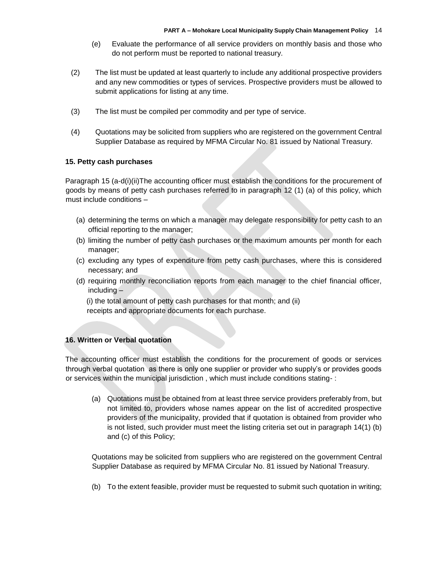- (e) Evaluate the performance of all service providers on monthly basis and those who do not perform must be reported to national treasury.
- (2) The list must be updated at least quarterly to include any additional prospective providers and any new commodities or types of services. Prospective providers must be allowed to submit applications for listing at any time.
- (3) The list must be compiled per commodity and per type of service.
- (4) Quotations may be solicited from suppliers who are registered on the government Central Supplier Database as required by MFMA Circular No. 81 issued by National Treasury.

## **15. Petty cash purchases**

Paragraph 15 (a-d(i)(ii)The accounting officer must establish the conditions for the procurement of goods by means of petty cash purchases referred to in paragraph 12 (1) (a) of this policy, which must include conditions –

- (a) determining the terms on which a manager may delegate responsibility for petty cash to an official reporting to the manager;
- (b) limiting the number of petty cash purchases or the maximum amounts per month for each manager;
- (c) excluding any types of expenditure from petty cash purchases, where this is considered necessary; and
- (d) requiring monthly reconciliation reports from each manager to the chief financial officer, including –

(i) the total amount of petty cash purchases for that month; and (ii) receipts and appropriate documents for each purchase.

## **16. Written or Verbal quotation**

The accounting officer must establish the conditions for the procurement of goods or services through verbal quotation as there is only one supplier or provider who supply's or provides goods or services within the municipal jurisdiction , which must include conditions stating- :

(a) Quotations must be obtained from at least three service providers preferably from, but not limited to, providers whose names appear on the list of accredited prospective providers of the municipality, provided that if quotation is obtained from provider who is not listed, such provider must meet the listing criteria set out in paragraph 14(1) (b) and (c) of this Policy;

Quotations may be solicited from suppliers who are registered on the government Central Supplier Database as required by MFMA Circular No. 81 issued by National Treasury.

(b) To the extent feasible, provider must be requested to submit such quotation in writing;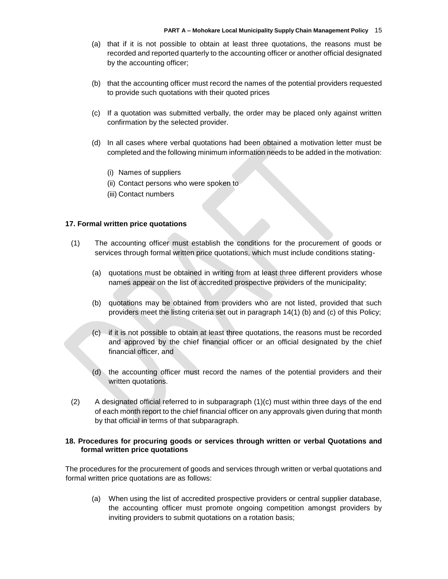- (a) that if it is not possible to obtain at least three quotations, the reasons must be recorded and reported quarterly to the accounting officer or another official designated by the accounting officer;
- (b) that the accounting officer must record the names of the potential providers requested to provide such quotations with their quoted prices
- (c) If a quotation was submitted verbally, the order may be placed only against written confirmation by the selected provider.
- (d) In all cases where verbal quotations had been obtained a motivation letter must be completed and the following minimum information needs to be added in the motivation:
	- (i) Names of suppliers
	- (ii) Contact persons who were spoken to
	- (iii) Contact numbers

#### **17. Formal written price quotations**

- (1) The accounting officer must establish the conditions for the procurement of goods or services through formal written price quotations, which must include conditions stating-
	- (a) quotations must be obtained in writing from at least three different providers whose names appear on the list of accredited prospective providers of the municipality;
	- (b) quotations may be obtained from providers who are not listed, provided that such providers meet the listing criteria set out in paragraph 14(1) (b) and (c) of this Policy;
	- (c) if it is not possible to obtain at least three quotations, the reasons must be recorded and approved by the chief financial officer or an official designated by the chief financial officer, and
	- (d) the accounting officer must record the names of the potential providers and their written quotations.
- $(2)$  A designated official referred to in subparagraph  $(1)(c)$  must within three days of the end of each month report to the chief financial officer on any approvals given during that month by that official in terms of that subparagraph.

#### **18. Procedures for procuring goods or services through written or verbal Quotations and formal written price quotations**

The procedures for the procurement of goods and services through written or verbal quotations and formal written price quotations are as follows:

(a) When using the list of accredited prospective providers or central supplier database, the accounting officer must promote ongoing competition amongst providers by inviting providers to submit quotations on a rotation basis;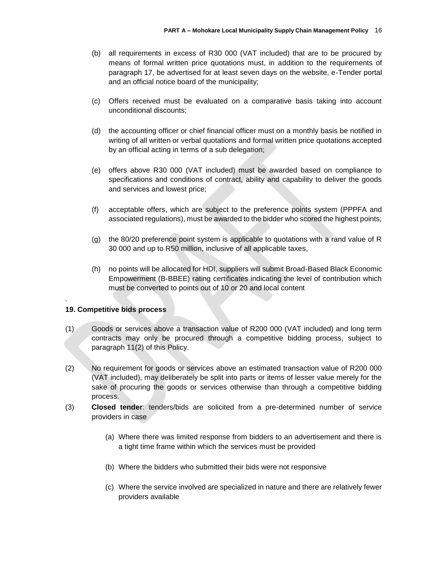- (b) all requirements in excess of R30 000 (VAT included) that are to be procured by means of formal written price quotations must, in addition to the requirements of paragraph 17, be advertised for at least seven days on the website, e-Tender portal and an official notice board of the municipality;
- (c) Offers received must be evaluated on a comparative basis taking into account unconditional discounts;
- (d) the accounting officer or chief financial officer must on a monthly basis be notified in writing of all written or verbal quotations and formal written price quotations accepted by an official acting in terms of a sub delegation;
- (e) offers above R30 000 (VAT included) must be awarded based on compliance to specifications and conditions of contract, ability and capability to deliver the goods and services and lowest price;
- (f) acceptable offers, which are subject to the preference points system (PPPFA and associated regulations), must be awarded to the bidder who scored the highest points;
- (g) the 80/20 preference point system is applicable to quotations with a rand value of R 30 000 and up to R50 million, inclusive of all applicable taxes,
- (h) no points will be allocated for HDI, suppliers will submit Broad-Based Black Economic Empowerment (B-BBEE) rating certificates indicating the level of contribution which must be converted to points out of 10 or 20 and local content

## **19. Competitive bids process**

.

- (1) Goods or services above a transaction value of R200 000 (VAT included) and long term contracts may only be procured through a competitive bidding process, subject to paragraph 11(2) of this Policy.
- (2) No requirement for goods or services above an estimated transaction value of R200 000 (VAT included), may deliberately be split into parts or items of lesser value merely for the sake of procuring the goods or services otherwise than through a competitive bidding process.
- (3) **Closed tender**: tenders/bids are solicited from a pre-determined number of service providers in case
	- (a) Where there was limited response from bidders to an advertisement and there is a tight time frame within which the services must be provided
	- (b) Where the bidders who submitted their bids were not responsive
	- (c) Where the service involved are specialized in nature and there are relatively fewer providers available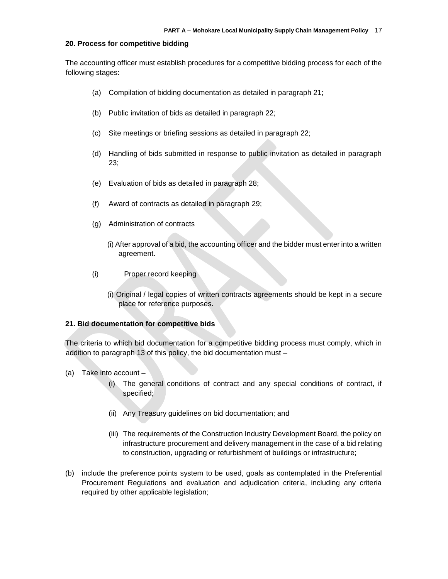#### **20. Process for competitive bidding**

The accounting officer must establish procedures for a competitive bidding process for each of the following stages:

- (a) Compilation of bidding documentation as detailed in paragraph 21;
- (b) Public invitation of bids as detailed in paragraph 22;
- (c) Site meetings or briefing sessions as detailed in paragraph 22;
- (d) Handling of bids submitted in response to public invitation as detailed in paragraph 23;
- (e) Evaluation of bids as detailed in paragraph 28;
- (f) Award of contracts as detailed in paragraph 29;
- (g) Administration of contracts
	- (i) After approval of a bid, the accounting officer and the bidder must enter into a written agreement.
- (i) Proper record keeping
	- (i) Original / legal copies of written contracts agreements should be kept in a secure place for reference purposes.

#### **21. Bid documentation for competitive bids**

The criteria to which bid documentation for a competitive bidding process must comply, which in addition to paragraph 13 of this policy, the bid documentation must –

- (a) Take into account
	- (i) The general conditions of contract and any special conditions of contract, if specified;
	- (ii) Any Treasury guidelines on bid documentation; and
	- (iii) The requirements of the Construction Industry Development Board, the policy on infrastructure procurement and delivery management in the case of a bid relating to construction, upgrading or refurbishment of buildings or infrastructure;
- (b) include the preference points system to be used, goals as contemplated in the Preferential Procurement Regulations and evaluation and adjudication criteria, including any criteria required by other applicable legislation;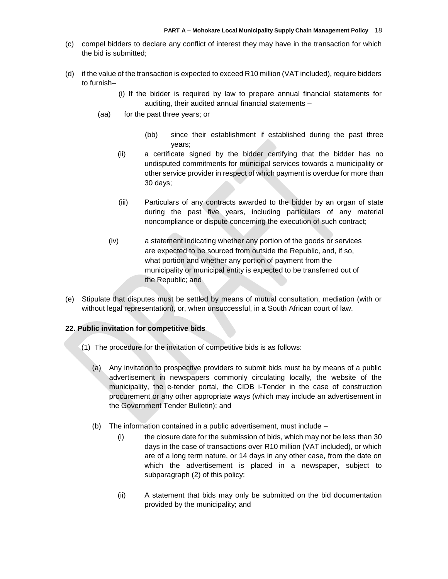- (c) compel bidders to declare any conflict of interest they may have in the transaction for which the bid is submitted;
- (d) if the value of the transaction is expected to exceed R10 million (VAT included), require bidders to furnish–
	- (i) If the bidder is required by law to prepare annual financial statements for auditing, their audited annual financial statements –
	- (aa) for the past three years; or
		- (bb) since their establishment if established during the past three years;
		- (ii) a certificate signed by the bidder certifying that the bidder has no undisputed commitments for municipal services towards a municipality or other service provider in respect of which payment is overdue for more than 30 days;
		- (iii) Particulars of any contracts awarded to the bidder by an organ of state during the past five years, including particulars of any material noncompliance or dispute concerning the execution of such contract;
		- (iv) a statement indicating whether any portion of the goods or services are expected to be sourced from outside the Republic, and, if so, what portion and whether any portion of payment from the municipality or municipal entity is expected to be transferred out of the Republic; and
- (e) Stipulate that disputes must be settled by means of mutual consultation, mediation (with or without legal representation), or, when unsuccessful, in a South African court of law.

#### **22. Public invitation for competitive bids**

- (1) The procedure for the invitation of competitive bids is as follows:
	- (a) Any invitation to prospective providers to submit bids must be by means of a public advertisement in newspapers commonly circulating locally, the website of the municipality, the e-tender portal, the CIDB i-Tender in the case of construction procurement or any other appropriate ways (which may include an advertisement in the Government Tender Bulletin); and
	- (b) The information contained in a public advertisement, must include
		- (i) the closure date for the submission of bids, which may not be less than 30 days in the case of transactions over R10 million (VAT included), or which are of a long term nature, or 14 days in any other case, from the date on which the advertisement is placed in a newspaper, subject to subparagraph (2) of this policy;
		- (ii) A statement that bids may only be submitted on the bid documentation provided by the municipality; and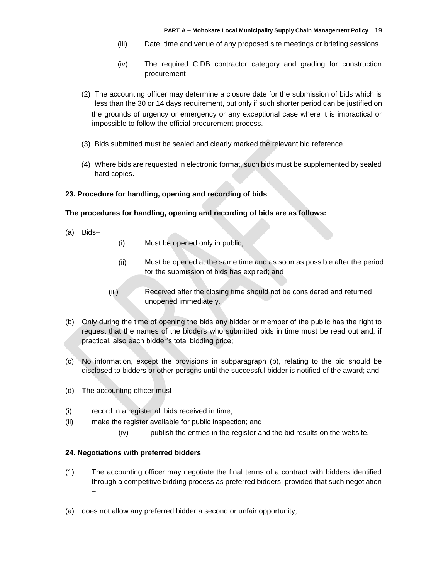- (iii) Date, time and venue of any proposed site meetings or briefing sessions.
- (iv) The required CIDB contractor category and grading for construction procurement
- (2) The accounting officer may determine a closure date for the submission of bids which is less than the 30 or 14 days requirement, but only if such shorter period can be justified on the grounds of urgency or emergency or any exceptional case where it is impractical or impossible to follow the official procurement process.
- (3) Bids submitted must be sealed and clearly marked the relevant bid reference.
- (4) Where bids are requested in electronic format, such bids must be supplemented by sealed hard copies.

#### **23. Procedure for handling, opening and recording of bids**

#### **The procedures for handling, opening and recording of bids are as follows:**

- (a) Bids–
- (i) Must be opened only in public;
- (ii) Must be opened at the same time and as soon as possible after the period for the submission of bids has expired; and
- (iii) Received after the closing time should not be considered and returned unopened immediately.
- (b) Only during the time of opening the bids any bidder or member of the public has the right to request that the names of the bidders who submitted bids in time must be read out and, if practical, also each bidder's total bidding price;
- (c) No information, except the provisions in subparagraph (b), relating to the bid should be disclosed to bidders or other persons until the successful bidder is notified of the award; and
- (d) The accounting officer must –
- (i) record in a register all bids received in time;
- (ii) make the register available for public inspection; and
	- (iv) publish the entries in the register and the bid results on the website.

#### **24. Negotiations with preferred bidders**

- (1) The accounting officer may negotiate the final terms of a contract with bidders identified through a competitive bidding process as preferred bidders, provided that such negotiation –
- (a) does not allow any preferred bidder a second or unfair opportunity;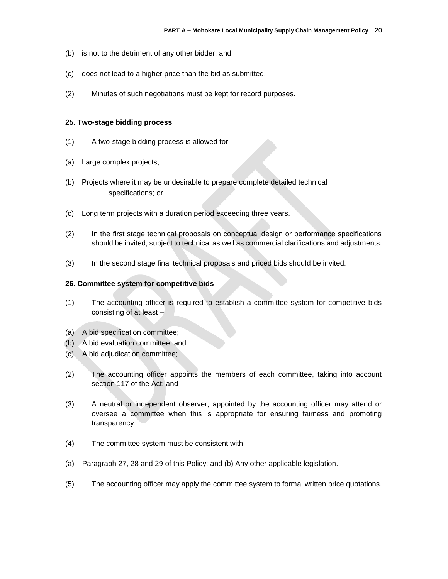- (b) is not to the detriment of any other bidder; and
- (c) does not lead to a higher price than the bid as submitted.
- (2) Minutes of such negotiations must be kept for record purposes.

#### **25. Two-stage bidding process**

- (1) A two-stage bidding process is allowed for –
- (a) Large complex projects;
- (b) Projects where it may be undesirable to prepare complete detailed technical specifications; or
- (c) Long term projects with a duration period exceeding three years.
- (2) In the first stage technical proposals on conceptual design or performance specifications should be invited, subject to technical as well as commercial clarifications and adjustments.
- (3) In the second stage final technical proposals and priced bids should be invited.

#### **26. Committee system for competitive bids**

- (1) The accounting officer is required to establish a committee system for competitive bids consisting of at least –
- (a) A bid specification committee;
- (b) A bid evaluation committee; and
- (c) A bid adjudication committee;
- (2) The accounting officer appoints the members of each committee, taking into account section 117 of the Act; and
- (3) A neutral or independent observer, appointed by the accounting officer may attend or oversee a committee when this is appropriate for ensuring fairness and promoting transparency.
- (4) The committee system must be consistent with –
- (a) Paragraph 27, 28 and 29 of this Policy; and (b) Any other applicable legislation.
- (5) The accounting officer may apply the committee system to formal written price quotations.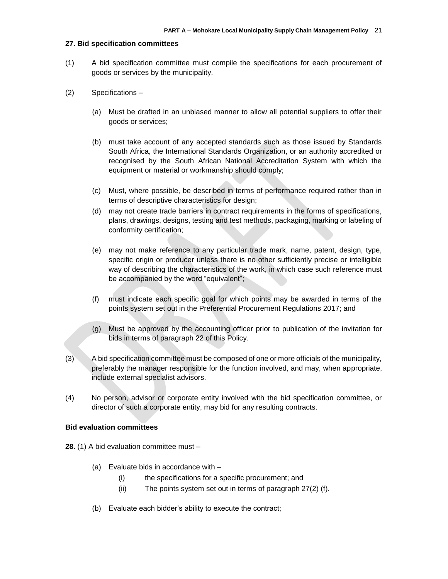#### **27. Bid specification committees**

- (1) A bid specification committee must compile the specifications for each procurement of goods or services by the municipality.
- (2) Specifications
	- (a) Must be drafted in an unbiased manner to allow all potential suppliers to offer their goods or services;
	- (b) must take account of any accepted standards such as those issued by Standards South Africa, the International Standards Organization, or an authority accredited or recognised by the South African National Accreditation System with which the equipment or material or workmanship should comply;
	- (c) Must, where possible, be described in terms of performance required rather than in terms of descriptive characteristics for design;
	- (d) may not create trade barriers in contract requirements in the forms of specifications, plans, drawings, designs, testing and test methods, packaging, marking or labeling of conformity certification;
	- (e) may not make reference to any particular trade mark, name, patent, design, type, specific origin or producer unless there is no other sufficiently precise or intelligible way of describing the characteristics of the work, in which case such reference must be accompanied by the word "equivalent";
	- (f) must indicate each specific goal for which points may be awarded in terms of the points system set out in the Preferential Procurement Regulations 2017; and
	- (g) Must be approved by the accounting officer prior to publication of the invitation for bids in terms of paragraph 22 of this Policy.
- (3) A bid specification committee must be composed of one or more officials of the municipality, preferably the manager responsible for the function involved, and may, when appropriate, include external specialist advisors.
- (4) No person, advisor or corporate entity involved with the bid specification committee, or director of such a corporate entity, may bid for any resulting contracts.

#### **Bid evaluation committees**

- **28.** (1) A bid evaluation committee must
	- (a) Evaluate bids in accordance with
		- (i) the specifications for a specific procurement; and
		- (ii) The points system set out in terms of paragraph 27(2) (f).
	- (b) Evaluate each bidder's ability to execute the contract;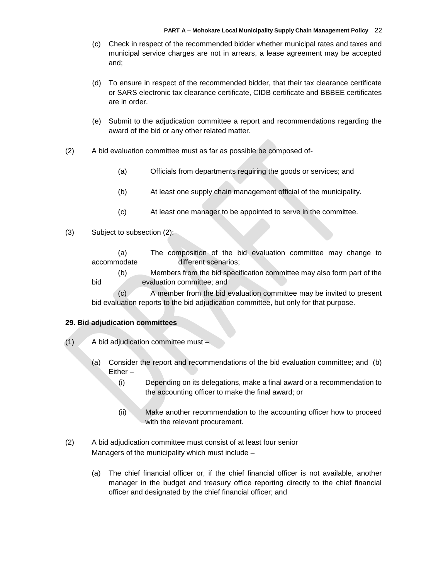- (c) Check in respect of the recommended bidder whether municipal rates and taxes and municipal service charges are not in arrears, a lease agreement may be accepted and;
- (d) To ensure in respect of the recommended bidder, that their tax clearance certificate or SARS electronic tax clearance certificate, CIDB certificate and BBBEE certificates are in order.
- (e) Submit to the adjudication committee a report and recommendations regarding the award of the bid or any other related matter.
- (2) A bid evaluation committee must as far as possible be composed of-
	- (a) Officials from departments requiring the goods or services; and
	- (b) At least one supply chain management official of the municipality.
	- (c) At least one manager to be appointed to serve in the committee.
- (3) Subject to subsection (2):

(a) The composition of the bid evaluation committee may change to accommodate different scenarios;

(b) Members from the bid specification committee may also form part of the bid evaluation committee; and

(c) A member from the bid evaluation committee may be invited to present bid evaluation reports to the bid adjudication committee, but only for that purpose.

#### **29. Bid adjudication committees**

- (1) A bid adjudication committee must
	- (a) Consider the report and recommendations of the bid evaluation committee; and (b) Either –
		- (i) Depending on its delegations, make a final award or a recommendation to the accounting officer to make the final award; or
		- (ii) Make another recommendation to the accounting officer how to proceed with the relevant procurement.
- (2) A bid adjudication committee must consist of at least four senior Managers of the municipality which must include –
	- (a) The chief financial officer or, if the chief financial officer is not available, another manager in the budget and treasury office reporting directly to the chief financial officer and designated by the chief financial officer; and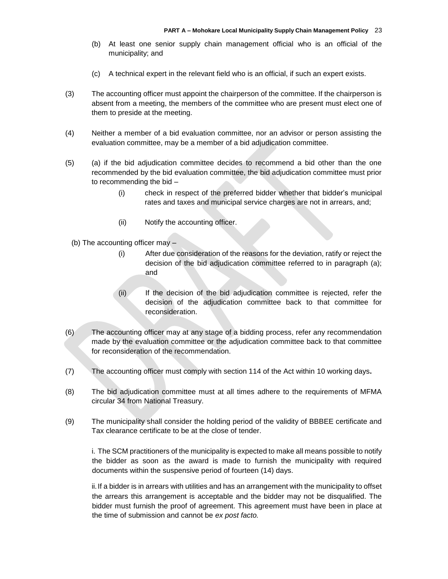- (b) At least one senior supply chain management official who is an official of the municipality; and
- (c) A technical expert in the relevant field who is an official, if such an expert exists.
- (3) The accounting officer must appoint the chairperson of the committee. If the chairperson is absent from a meeting, the members of the committee who are present must elect one of them to preside at the meeting.
- (4) Neither a member of a bid evaluation committee, nor an advisor or person assisting the evaluation committee, may be a member of a bid adjudication committee.
- (5) (a) if the bid adjudication committee decides to recommend a bid other than the one recommended by the bid evaluation committee, the bid adjudication committee must prior to recommending the bid –
	- (i) check in respect of the preferred bidder whether that bidder's municipal rates and taxes and municipal service charges are not in arrears, and;
	- (ii) Notify the accounting officer.
	- (b) The accounting officer may
		- (i) After due consideration of the reasons for the deviation, ratify or reject the decision of the bid adjudication committee referred to in paragraph (a); and
		- (ii) If the decision of the bid adjudication committee is rejected, refer the decision of the adjudication committee back to that committee for reconsideration.
- (6) The accounting officer may at any stage of a bidding process, refer any recommendation made by the evaluation committee or the adjudication committee back to that committee for reconsideration of the recommendation.
- (7) The accounting officer must comply with section 114 of the Act within 10 working days**.**
- (8) The bid adjudication committee must at all times adhere to the requirements of MFMA circular 34 from National Treasury.
- (9) The municipality shall consider the holding period of the validity of BBBEE certificate and Tax clearance certificate to be at the close of tender.

i. The SCM practitioners of the municipality is expected to make all means possible to notify the bidder as soon as the award is made to furnish the municipality with required documents within the suspensive period of fourteen (14) days.

ii.If a bidder is in arrears with utilities and has an arrangement with the municipality to offset the arrears this arrangement is acceptable and the bidder may not be disqualified. The bidder must furnish the proof of agreement. This agreement must have been in place at the time of submission and cannot be *ex post facto.*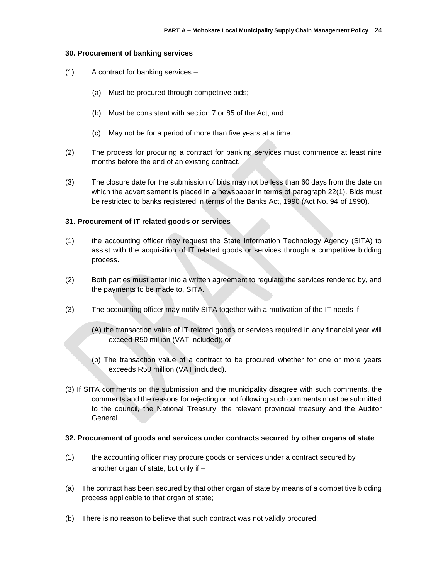#### **30. Procurement of banking services**

- (1) A contract for banking services
	- (a) Must be procured through competitive bids;
	- (b) Must be consistent with section 7 or 85 of the Act; and
	- (c) May not be for a period of more than five years at a time.
- (2) The process for procuring a contract for banking services must commence at least nine months before the end of an existing contract.
- (3) The closure date for the submission of bids may not be less than 60 days from the date on which the advertisement is placed in a newspaper in terms of paragraph 22(1). Bids must be restricted to banks registered in terms of the Banks Act, 1990 (Act No. 94 of 1990).

#### **31. Procurement of IT related goods or services**

- (1) the accounting officer may request the State Information Technology Agency (SITA) to assist with the acquisition of IT related goods or services through a competitive bidding process.
- (2) Both parties must enter into a written agreement to regulate the services rendered by, and the payments to be made to, SITA.
- (3) The accounting officer may notify SITA together with a motivation of the IT needs if
	- (A) the transaction value of IT related goods or services required in any financial year will exceed R50 million (VAT included); or
	- (b) The transaction value of a contract to be procured whether for one or more years exceeds R50 million (VAT included).
- (3) If SITA comments on the submission and the municipality disagree with such comments, the comments and the reasons for rejecting or not following such comments must be submitted to the council, the National Treasury, the relevant provincial treasury and the Auditor General.

#### **32. Procurement of goods and services under contracts secured by other organs of state**

- (1) the accounting officer may procure goods or services under a contract secured by another organ of state, but only if –
- (a) The contract has been secured by that other organ of state by means of a competitive bidding process applicable to that organ of state;
- (b) There is no reason to believe that such contract was not validly procured;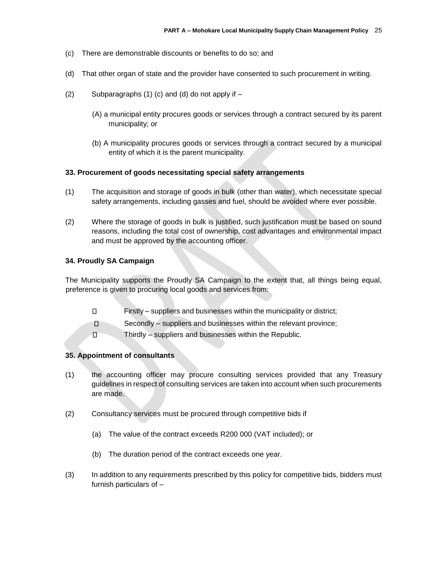- (c) There are demonstrable discounts or benefits to do so; and
- (d) That other organ of state and the provider have consented to such procurement in writing.
- $(2)$  Subparagraphs  $(1)$   $(c)$  and  $(d)$  do not apply if  $-$ 
	- (A) a municipal entity procures goods or services through a contract secured by its parent municipality; or
	- (b) A municipality procures goods or services through a contract secured by a municipal entity of which it is the parent municipality.

#### **33. Procurement of goods necessitating special safety arrangements**

- (1) The acquisition and storage of goods in bulk (other than water), which necessitate special safety arrangements, including gasses and fuel, should be avoided where ever possible.
- (2) Where the storage of goods in bulk is justified, such justification must be based on sound reasons, including the total cost of ownership, cost advantages and environmental impact and must be approved by the accounting officer.

#### **34. Proudly SA Campaign**

The Municipality supports the Proudly SA Campaign to the extent that, all things being equal, preference is given to procuring local goods and services from:

- $\Box$ Firstly – suppliers and businesses within the municipality or district;
- $\Box$ Secondly – suppliers and businesses within the relevant province;
- $\Box$ Thirdly – suppliers and businesses within the Republic.

#### **35. Appointment of consultants**

- (1) the accounting officer may procure consulting services provided that any Treasury guidelines in respect of consulting services are taken into account when such procurements are made.
- (2) Consultancy services must be procured through competitive bids if
	- (a) The value of the contract exceeds R200 000 (VAT included); or
	- (b) The duration period of the contract exceeds one year.
- (3) In addition to any requirements prescribed by this policy for competitive bids, bidders must furnish particulars of –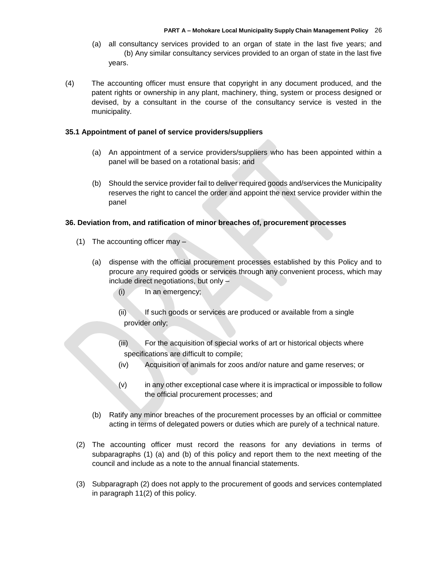- (a) all consultancy services provided to an organ of state in the last five years; and (b) Any similar consultancy services provided to an organ of state in the last five years.
- (4) The accounting officer must ensure that copyright in any document produced, and the patent rights or ownership in any plant, machinery, thing, system or process designed or devised, by a consultant in the course of the consultancy service is vested in the municipality.

#### **35.1 Appointment of panel of service providers/suppliers**

- (a) An appointment of a service providers/suppliers who has been appointed within a panel will be based on a rotational basis; and
- (b) Should the service provider fail to deliver required goods and/services the Municipality reserves the right to cancel the order and appoint the next service provider within the panel

#### **36. Deviation from, and ratification of minor breaches of, procurement processes**

- (1) The accounting officer may
	- (a) dispense with the official procurement processes established by this Policy and to procure any required goods or services through any convenient process, which may include direct negotiations, but only –
		- (i) In an emergency;
		- (ii) If such goods or services are produced or available from a single provider only;
		- (iii) For the acquisition of special works of art or historical objects where specifications are difficult to compile;
		- (iv) Acquisition of animals for zoos and/or nature and game reserves; or
		- (v) in any other exceptional case where it is impractical or impossible to follow the official procurement processes; and
	- (b) Ratify any minor breaches of the procurement processes by an official or committee acting in terms of delegated powers or duties which are purely of a technical nature.
- (2) The accounting officer must record the reasons for any deviations in terms of subparagraphs (1) (a) and (b) of this policy and report them to the next meeting of the council and include as a note to the annual financial statements.
- (3) Subparagraph (2) does not apply to the procurement of goods and services contemplated in paragraph 11(2) of this policy.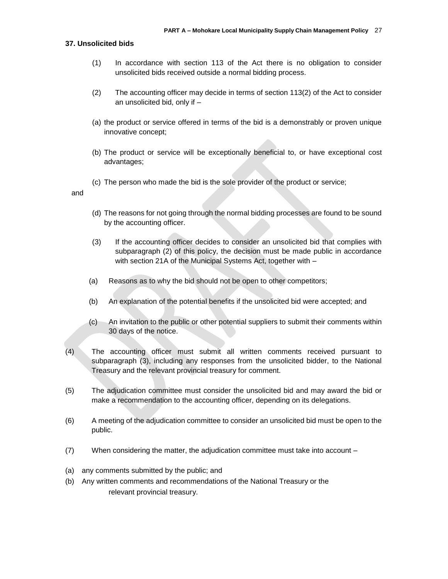#### **37. Unsolicited bids**

- (1) In accordance with section 113 of the Act there is no obligation to consider unsolicited bids received outside a normal bidding process.
- (2) The accounting officer may decide in terms of section 113(2) of the Act to consider an unsolicited bid, only if –
- (a) the product or service offered in terms of the bid is a demonstrably or proven unique innovative concept;
- (b) The product or service will be exceptionally beneficial to, or have exceptional cost advantages;
- (c) The person who made the bid is the sole provider of the product or service;

and

- (d) The reasons for not going through the normal bidding processes are found to be sound by the accounting officer.
- (3) If the accounting officer decides to consider an unsolicited bid that complies with subparagraph (2) of this policy, the decision must be made public in accordance with section 21A of the Municipal Systems Act, together with –
- (a) Reasons as to why the bid should not be open to other competitors;
- (b) An explanation of the potential benefits if the unsolicited bid were accepted; and
- (c) An invitation to the public or other potential suppliers to submit their comments within 30 days of the notice.
- (4) The accounting officer must submit all written comments received pursuant to subparagraph (3), including any responses from the unsolicited bidder, to the National Treasury and the relevant provincial treasury for comment.
- (5) The adjudication committee must consider the unsolicited bid and may award the bid or make a recommendation to the accounting officer, depending on its delegations.
- (6) A meeting of the adjudication committee to consider an unsolicited bid must be open to the public.
- (7) When considering the matter, the adjudication committee must take into account –
- (a) any comments submitted by the public; and
- (b) Any written comments and recommendations of the National Treasury or the relevant provincial treasury.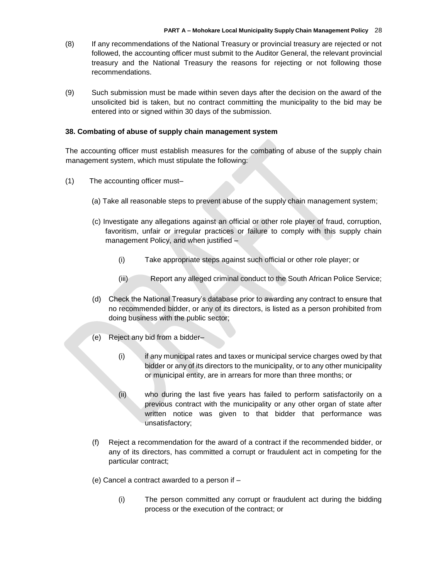- (8) If any recommendations of the National Treasury or provincial treasury are rejected or not followed, the accounting officer must submit to the Auditor General, the relevant provincial treasury and the National Treasury the reasons for rejecting or not following those recommendations.
- (9) Such submission must be made within seven days after the decision on the award of the unsolicited bid is taken, but no contract committing the municipality to the bid may be entered into or signed within 30 days of the submission.

## **38. Combating of abuse of supply chain management system**

The accounting officer must establish measures for the combating of abuse of the supply chain management system, which must stipulate the following:

- (1) The accounting officer must–
	- (a) Take all reasonable steps to prevent abuse of the supply chain management system;
	- (c) Investigate any allegations against an official or other role player of fraud, corruption, favoritism, unfair or irregular practices or failure to comply with this supply chain management Policy, and when justified –
		- (i) Take appropriate steps against such official or other role player; or
		- (iii) Report any alleged criminal conduct to the South African Police Service;
	- (d) Check the National Treasury's database prior to awarding any contract to ensure that no recommended bidder, or any of its directors, is listed as a person prohibited from doing business with the public sector;
	- (e) Reject any bid from a bidder–
		- (i) if any municipal rates and taxes or municipal service charges owed by that bidder or any of its directors to the municipality, or to any other municipality or municipal entity, are in arrears for more than three months; or
		- (ii) who during the last five years has failed to perform satisfactorily on a previous contract with the municipality or any other organ of state after written notice was given to that bidder that performance was unsatisfactory;
	- (f) Reject a recommendation for the award of a contract if the recommended bidder, or any of its directors, has committed a corrupt or fraudulent act in competing for the particular contract;
	- (e) Cancel a contract awarded to a person if
		- (i) The person committed any corrupt or fraudulent act during the bidding process or the execution of the contract; or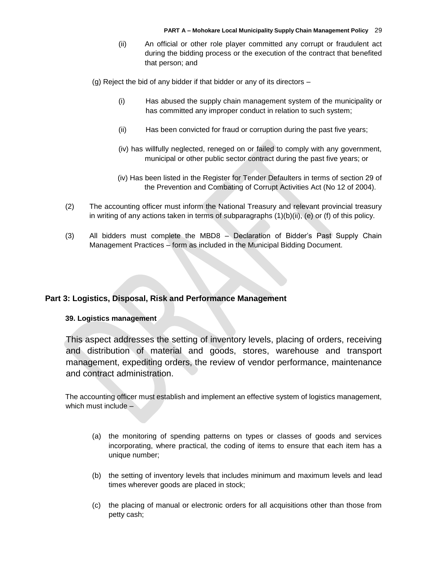(ii) An official or other role player committed any corrupt or fraudulent act during the bidding process or the execution of the contract that benefited that person; and

(g) Reject the bid of any bidder if that bidder or any of its directors –

- (i) Has abused the supply chain management system of the municipality or has committed any improper conduct in relation to such system;
- (ii) Has been convicted for fraud or corruption during the past five years;
- (iv) has willfully neglected, reneged on or failed to comply with any government, municipal or other public sector contract during the past five years; or
- (iv) Has been listed in the Register for Tender Defaulters in terms of section 29 of the Prevention and Combating of Corrupt Activities Act (No 12 of 2004).
- (2) The accounting officer must inform the National Treasury and relevant provincial treasury in writing of any actions taken in terms of subparagraphs  $(1)(b)(ii)$ , (e) or (f) of this policy.
- (3) All bidders must complete the MBD8 Declaration of Bidder's Past Supply Chain Management Practices – form as included in the Municipal Bidding Document.

## **Part 3: Logistics, Disposal, Risk and Performance Management**

#### **39. Logistics management**

This aspect addresses the setting of inventory levels, placing of orders, receiving and distribution of material and goods, stores, warehouse and transport management, expediting orders, the review of vendor performance, maintenance and contract administration.

The accounting officer must establish and implement an effective system of logistics management, which must include –

- (a) the monitoring of spending patterns on types or classes of goods and services incorporating, where practical, the coding of items to ensure that each item has a unique number;
- (b) the setting of inventory levels that includes minimum and maximum levels and lead times wherever goods are placed in stock;
- (c) the placing of manual or electronic orders for all acquisitions other than those from petty cash;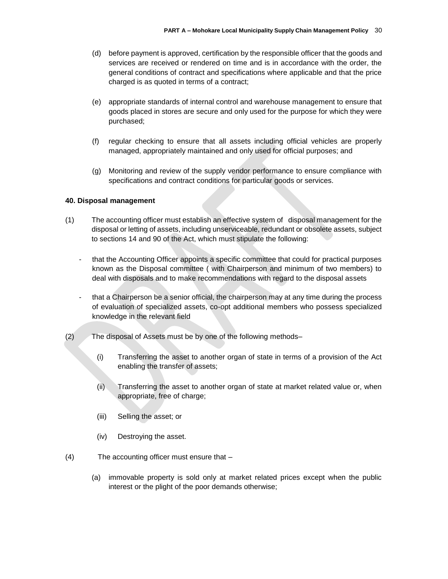- (d) before payment is approved, certification by the responsible officer that the goods and services are received or rendered on time and is in accordance with the order, the general conditions of contract and specifications where applicable and that the price charged is as quoted in terms of a contract;
- (e) appropriate standards of internal control and warehouse management to ensure that goods placed in stores are secure and only used for the purpose for which they were purchased;
- (f) regular checking to ensure that all assets including official vehicles are properly managed, appropriately maintained and only used for official purposes; and
- (g) Monitoring and review of the supply vendor performance to ensure compliance with specifications and contract conditions for particular goods or services.

#### **40. Disposal management**

- (1) The accounting officer must establish an effective system of disposal management for the disposal or letting of assets, including unserviceable, redundant or obsolete assets, subject to sections 14 and 90 of the Act, which must stipulate the following:
	- that the Accounting Officer appoints a specific committee that could for practical purposes known as the Disposal committee ( with Chairperson and minimum of two members) to deal with disposals and to make recommendations with regard to the disposal assets
	- that a Chairperson be a senior official, the chairperson may at any time during the process of evaluation of specialized assets, co-opt additional members who possess specialized knowledge in the relevant field
- (2) The disposal of Assets must be by one of the following methods–
	- (i) Transferring the asset to another organ of state in terms of a provision of the Act enabling the transfer of assets;
	- (ii) Transferring the asset to another organ of state at market related value or, when appropriate, free of charge;
	- (iii) Selling the asset; or
	- (iv) Destroying the asset.
- (4) The accounting officer must ensure that
	- (a) immovable property is sold only at market related prices except when the public interest or the plight of the poor demands otherwise;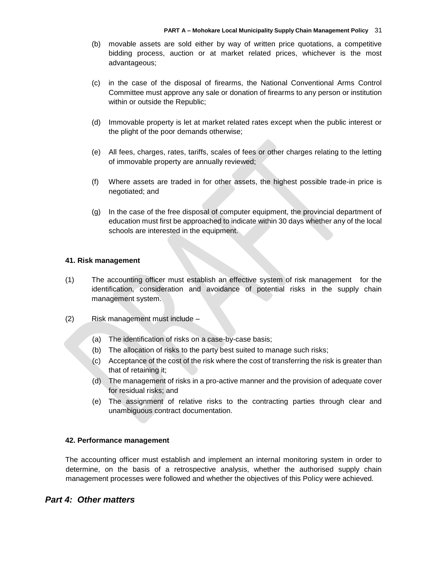- (b) movable assets are sold either by way of written price quotations, a competitive bidding process, auction or at market related prices, whichever is the most advantageous;
- (c) in the case of the disposal of firearms, the National Conventional Arms Control Committee must approve any sale or donation of firearms to any person or institution within or outside the Republic;
- (d) Immovable property is let at market related rates except when the public interest or the plight of the poor demands otherwise;
- (e) All fees, charges, rates, tariffs, scales of fees or other charges relating to the letting of immovable property are annually reviewed;
- (f) Where assets are traded in for other assets, the highest possible trade-in price is negotiated; and
- (g) In the case of the free disposal of computer equipment, the provincial department of education must first be approached to indicate within 30 days whether any of the local schools are interested in the equipment.

#### **41. Risk management**

- (1) The accounting officer must establish an effective system of risk management for the identification, consideration and avoidance of potential risks in the supply chain management system.
- (2) Risk management must include
	- (a) The identification of risks on a case-by-case basis;
	- (b) The allocation of risks to the party best suited to manage such risks;
	- (c) Acceptance of the cost of the risk where the cost of transferring the risk is greater than that of retaining it;
	- (d) The management of risks in a pro-active manner and the provision of adequate cover for residual risks; and
	- (e) The assignment of relative risks to the contracting parties through clear and unambiguous contract documentation.

#### **42. Performance management**

The accounting officer must establish and implement an internal monitoring system in order to determine, on the basis of a retrospective analysis, whether the authorised supply chain management processes were followed and whether the objectives of this Policy were achieved.

# *Part 4: Other matters*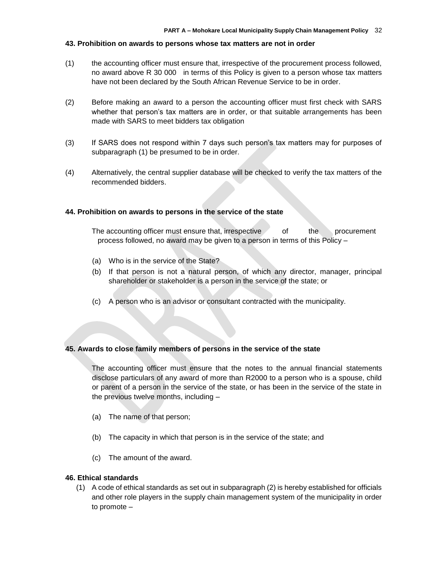#### **43. Prohibition on awards to persons whose tax matters are not in order**

- (1) the accounting officer must ensure that, irrespective of the procurement process followed, no award above R 30 000 in terms of this Policy is given to a person whose tax matters have not been declared by the South African Revenue Service to be in order.
- (2) Before making an award to a person the accounting officer must first check with SARS whether that person's tax matters are in order, or that suitable arrangements has been made with SARS to meet bidders tax obligation
- (3) If SARS does not respond within 7 days such person's tax matters may for purposes of subparagraph (1) be presumed to be in order.
- (4) Alternatively, the central supplier database will be checked to verify the tax matters of the recommended bidders.

#### **44. Prohibition on awards to persons in the service of the state**

The accounting officer must ensure that, irrespective of the procurement process followed, no award may be given to a person in terms of this Policy –

- (a) Who is in the service of the State?
- (b) If that person is not a natural person, of which any director, manager, principal shareholder or stakeholder is a person in the service of the state; or
- (c) A person who is an advisor or consultant contracted with the municipality.

#### **45. Awards to close family members of persons in the service of the state**

The accounting officer must ensure that the notes to the annual financial statements disclose particulars of any award of more than R2000 to a person who is a spouse, child or parent of a person in the service of the state, or has been in the service of the state in the previous twelve months, including –

- (a) The name of that person;
- (b) The capacity in which that person is in the service of the state; and
- (c) The amount of the award.

#### **46. Ethical standards**

(1) A code of ethical standards as set out in subparagraph (2) is hereby established for officials and other role players in the supply chain management system of the municipality in order to promote –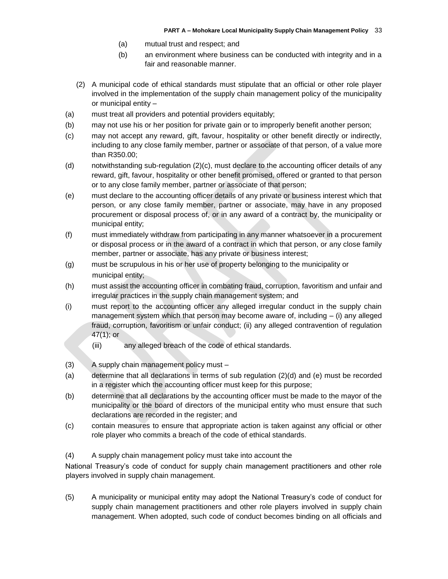- (a) mutual trust and respect; and
- (b) an environment where business can be conducted with integrity and in a fair and reasonable manner.
- (2) A municipal code of ethical standards must stipulate that an official or other role player involved in the implementation of the supply chain management policy of the municipality or municipal entity –
- (a) must treat all providers and potential providers equitably;
- (b) may not use his or her position for private gain or to improperly benefit another person;
- (c) may not accept any reward, gift, favour, hospitality or other benefit directly or indirectly, including to any close family member, partner or associate of that person, of a value more than R350.00;
- (d) notwithstanding sub-regulation (2)(c), must declare to the accounting officer details of any reward, gift, favour, hospitality or other benefit promised, offered or granted to that person or to any close family member, partner or associate of that person;
- (e) must declare to the accounting officer details of any private or business interest which that person, or any close family member, partner or associate, may have in any proposed procurement or disposal process of, or in any award of a contract by, the municipality or municipal entity;
- (f) must immediately withdraw from participating in any manner whatsoever in a procurement or disposal process or in the award of a contract in which that person, or any close family member, partner or associate, has any private or business interest;
- (g) must be scrupulous in his or her use of property belonging to the municipality or municipal entity;
- (h) must assist the accounting officer in combating fraud, corruption, favoritism and unfair and irregular practices in the supply chain management system; and
- (i) must report to the accounting officer any alleged irregular conduct in the supply chain management system which that person may become aware of, including – (i) any alleged fraud, corruption, favoritism or unfair conduct; (ii) any alleged contravention of regulation 47(1); or
	- (iii) any alleged breach of the code of ethical standards.
- (3) A supply chain management policy must –
- (a) determine that all declarations in terms of sub regulation (2)(d) and (e) must be recorded in a register which the accounting officer must keep for this purpose;
- (b) determine that all declarations by the accounting officer must be made to the mayor of the municipality or the board of directors of the municipal entity who must ensure that such declarations are recorded in the register; and
- (c) contain measures to ensure that appropriate action is taken against any official or other role player who commits a breach of the code of ethical standards.
- (4) A supply chain management policy must take into account the

National Treasury's code of conduct for supply chain management practitioners and other role players involved in supply chain management.

(5) A municipality or municipal entity may adopt the National Treasury's code of conduct for supply chain management practitioners and other role players involved in supply chain management. When adopted, such code of conduct becomes binding on all officials and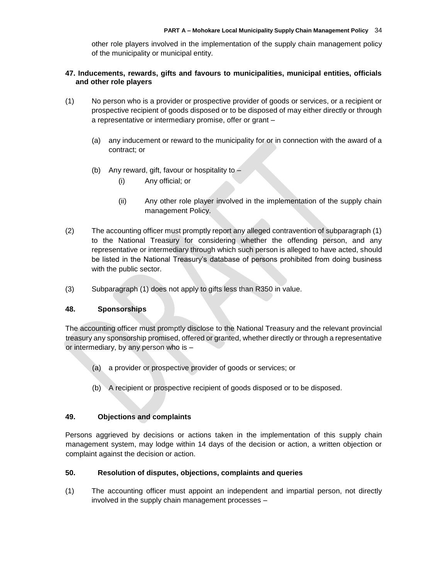other role players involved in the implementation of the supply chain management policy of the municipality or municipal entity.

## **47. Inducements, rewards, gifts and favours to municipalities, municipal entities, officials and other role players**

- (1) No person who is a provider or prospective provider of goods or services, or a recipient or prospective recipient of goods disposed or to be disposed of may either directly or through a representative or intermediary promise, offer or grant –
	- (a) any inducement or reward to the municipality for or in connection with the award of a contract; or
	- (b) Any reward, gift, favour or hospitality to
		- (i) Any official; or
		- (ii) Any other role player involved in the implementation of the supply chain management Policy.
- (2) The accounting officer must promptly report any alleged contravention of subparagraph (1) to the National Treasury for considering whether the offending person, and any representative or intermediary through which such person is alleged to have acted, should be listed in the National Treasury's database of persons prohibited from doing business with the public sector.
- (3) Subparagraph (1) does not apply to gifts less than R350 in value.

## **48. Sponsorships**

The accounting officer must promptly disclose to the National Treasury and the relevant provincial treasury any sponsorship promised, offered or granted, whether directly or through a representative or intermediary, by any person who is –

- (a) a provider or prospective provider of goods or services; or
- (b) A recipient or prospective recipient of goods disposed or to be disposed.

#### **49. Objections and complaints**

Persons aggrieved by decisions or actions taken in the implementation of this supply chain management system, may lodge within 14 days of the decision or action, a written objection or complaint against the decision or action.

#### **50. Resolution of disputes, objections, complaints and queries**

(1) The accounting officer must appoint an independent and impartial person, not directly involved in the supply chain management processes –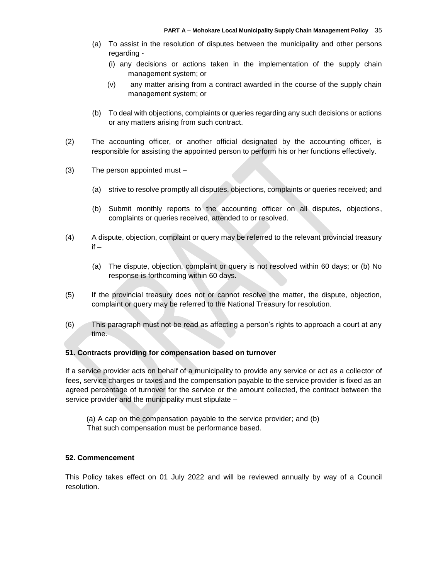- (a) To assist in the resolution of disputes between the municipality and other persons regarding -
	- (i) any decisions or actions taken in the implementation of the supply chain management system; or
	- (v) any matter arising from a contract awarded in the course of the supply chain management system; or
- (b) To deal with objections, complaints or queries regarding any such decisions or actions or any matters arising from such contract.
- (2) The accounting officer, or another official designated by the accounting officer, is responsible for assisting the appointed person to perform his or her functions effectively.
- (3) The person appointed must
	- (a) strive to resolve promptly all disputes, objections, complaints or queries received; and
	- (b) Submit monthly reports to the accounting officer on all disputes, objections, complaints or queries received, attended to or resolved.
- (4) A dispute, objection, complaint or query may be referred to the relevant provincial treasury  $if -$ 
	- (a) The dispute, objection, complaint or query is not resolved within 60 days; or (b) No response is forthcoming within 60 days.
- (5) If the provincial treasury does not or cannot resolve the matter, the dispute, objection, complaint or query may be referred to the National Treasury for resolution.
- (6) This paragraph must not be read as affecting a person's rights to approach a court at any time.

#### **51. Contracts providing for compensation based on turnover**

If a service provider acts on behalf of a municipality to provide any service or act as a collector of fees, service charges or taxes and the compensation payable to the service provider is fixed as an agreed percentage of turnover for the service or the amount collected, the contract between the service provider and the municipality must stipulate –

(a) A cap on the compensation payable to the service provider; and (b) That such compensation must be performance based.

## **52. Commencement**

This Policy takes effect on 01 July 2022 and will be reviewed annually by way of a Council resolution.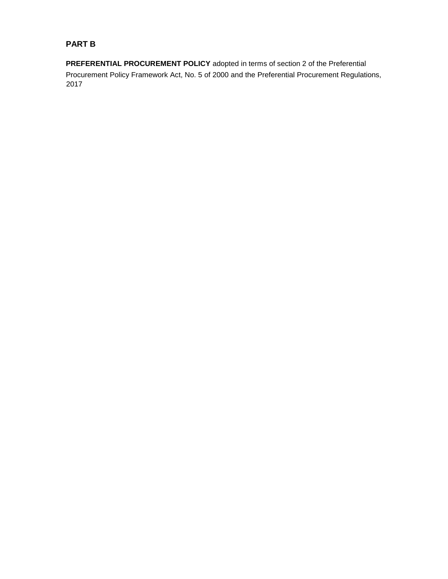# **PART B**

**PREFERENTIAL PROCUREMENT POLICY** adopted in terms of section 2 of the Preferential Procurement Policy Framework Act, No. 5 of 2000 and the Preferential Procurement Regulations, 2017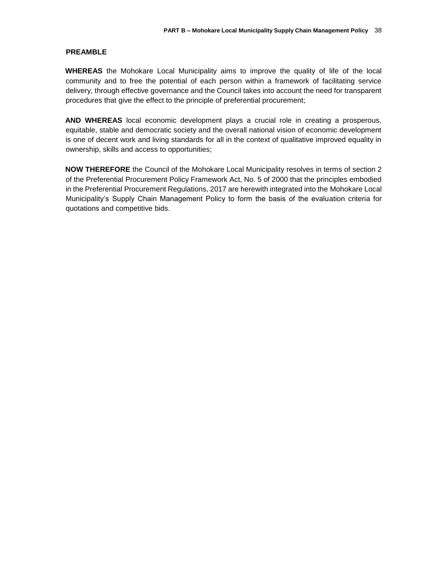## **PREAMBLE**

**WHEREAS** the Mohokare Local Municipality aims to improve the quality of life of the local community and to free the potential of each person within a framework of facilitating service delivery, through effective governance and the Council takes into account the need for transparent procedures that give the effect to the principle of preferential procurement;

**AND WHEREAS** local economic development plays a crucial role in creating a prosperous, equitable, stable and democratic society and the overall national vision of economic development is one of decent work and living standards for all in the context of qualitative improved equality in ownership, skills and access to opportunities;

**NOW THEREFORE** the Council of the Mohokare Local Municipality resolves in terms of section 2 of the Preferential Procurement Policy Framework Act, No. 5 of 2000 that the principles embodied in the Preferential Procurement Regulations, 2017 are herewith integrated into the Mohokare Local Municipality's Supply Chain Management Policy to form the basis of the evaluation criteria for quotations and competitive bids.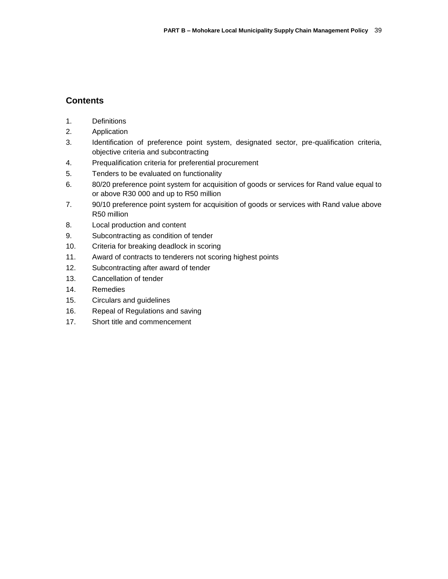# **Contents**

- 1. Definitions
- 2. Application
- 3. Identification of preference point system, designated sector, pre-qualification criteria, objective criteria and subcontracting
- 4. Prequalification criteria for preferential procurement
- 5. Tenders to be evaluated on functionality
- 6. 80/20 preference point system for acquisition of goods or services for Rand value equal to or above R30 000 and up to R50 million
- 7. 90/10 preference point system for acquisition of goods or services with Rand value above R50 million
- 8. Local production and content
- 9. Subcontracting as condition of tender
- 10. Criteria for breaking deadlock in scoring
- 11. Award of contracts to tenderers not scoring highest points
- 12. Subcontracting after award of tender
- 13. Cancellation of tender
- 14. Remedies
- 15. Circulars and guidelines
- 16. Repeal of Regulations and saving
- 17. Short title and commencement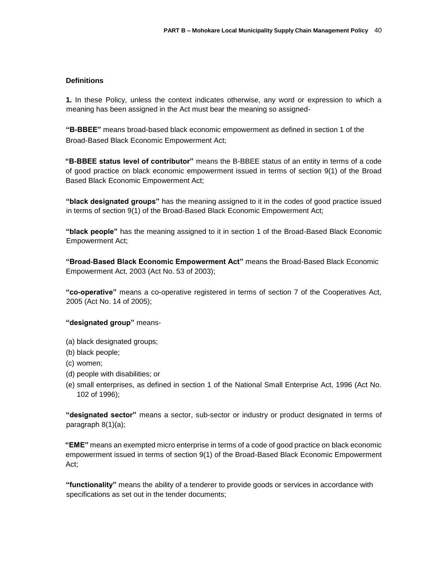## **Definitions**

**1.** In these Policy, unless the context indicates otherwise, any word or expression to which a meaning has been assigned in the Act must bear the meaning so assigned-

**"B-BBEE"** means broad-based black economic empowerment as defined in section 1 of the Broad-Based Black Economic Empowerment Act;

**"B-BBEE status level of contributor"** means the B-BBEE status of an entity in terms of a code of good practice on black economic empowerment issued in terms of section 9(1) of the Broad Based Black Economic Empowerment Act;

**"black designated groups"** has the meaning assigned to it in the codes of good practice issued in terms of section 9(1) of the Broad-Based Black Economic Empowerment Act;

**"black people"** has the meaning assigned to it in section 1 of the Broad-Based Black Economic Empowerment Act;

**"Broad-Based Black Economic Empowerment Act"** means the Broad-Based Black Economic Empowerment Act, 2003 (Act No. 53 of 2003);

**"co-operative"** means a co-operative registered in terms of section 7 of the Cooperatives Act, 2005 (Act No. 14 of 2005);

#### **"designated group"** means-

- (a) black designated groups;
- (b) black people;
- (c) women;
- (d) people with disabilities; or
- (e) small enterprises, as defined in section 1 of the National Small Enterprise Act, 1996 (Act No. 102 of 1996);

**"designated sector"** means a sector, sub-sector or industry or product designated in terms of paragraph 8(1)(a);

**"EME"** means an exempted micro enterprise in terms of a code of good practice on black economic empowerment issued in terms of section 9(1) of the Broad-Based Black Economic Empowerment Act;

**"functionality"** means the ability of a tenderer to provide goods or services in accordance with specifications as set out in the tender documents;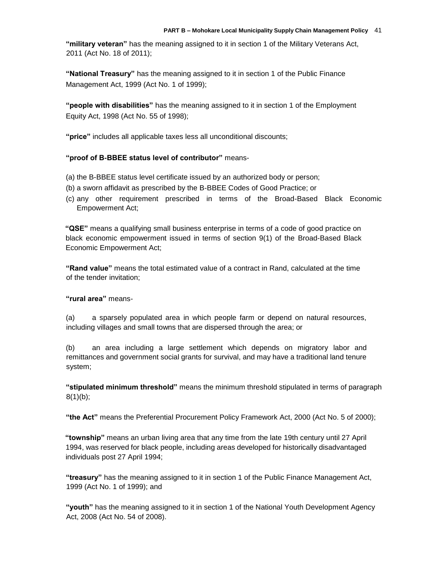**"military veteran"** has the meaning assigned to it in section 1 of the Military Veterans Act, 2011 (Act No. 18 of 2011);

**"National Treasury"** has the meaning assigned to it in section 1 of the Public Finance Management Act, 1999 (Act No. 1 of 1999);

**"people with disabilities"** has the meaning assigned to it in section 1 of the Employment Equity Act, 1998 (Act No. 55 of 1998);

**"price"** includes all applicable taxes less all unconditional discounts;

## **"proof of B-BBEE status level of contributor"** means-

- (a) the B-BBEE status level certificate issued by an authorized body or person;
- (b) a sworn affidavit as prescribed by the B-BBEE Codes of Good Practice; or
- (c) any other requirement prescribed in terms of the Broad-Based Black Economic Empowerment Act;

**"QSE"** means a qualifying small business enterprise in terms of a code of good practice on black economic empowerment issued in terms of section 9(1) of the Broad-Based Black Economic Empowerment Act;

**"Rand value"** means the total estimated value of a contract in Rand, calculated at the time of the tender invitation;

#### **"rural area"** means-

(a) a sparsely populated area in which people farm or depend on natural resources, including villages and small towns that are dispersed through the area; or

(b) an area including a large settlement which depends on migratory labor and remittances and government social grants for survival, and may have a traditional land tenure system;

**"stipulated minimum threshold"** means the minimum threshold stipulated in terms of paragraph 8(1)(b);

**"the Act"** means the Preferential Procurement Policy Framework Act, 2000 (Act No. 5 of 2000);

**"township"** means an urban living area that any time from the late 19th century until 27 April 1994, was reserved for black people, including areas developed for historically disadvantaged individuals post 27 April 1994;

**"treasury"** has the meaning assigned to it in section 1 of the Public Finance Management Act, 1999 (Act No. 1 of 1999); and

**"youth"** has the meaning assigned to it in section 1 of the National Youth Development Agency Act, 2008 (Act No. 54 of 2008).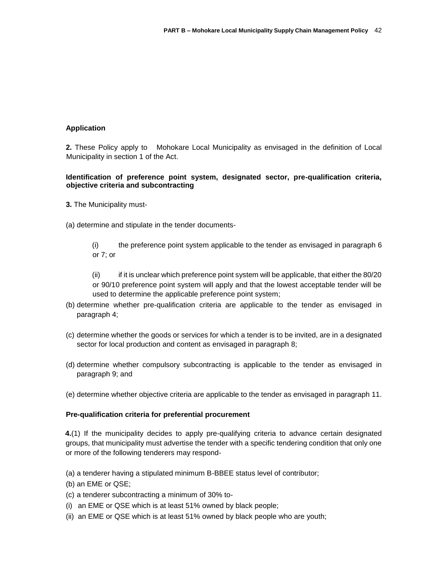## **Application**

**2.** These Policy apply to Mohokare Local Municipality as envisaged in the definition of Local Municipality in section 1 of the Act.

## **Identification of preference point system, designated sector, pre-qualification criteria, objective criteria and subcontracting**

- **3.** The Municipality must-
- (a) determine and stipulate in the tender documents-

(i) the preference point system applicable to the tender as envisaged in paragraph 6 or 7; or

(ii) if it is unclear which preference point system will be applicable, that either the 80/20 or 90/10 preference point system will apply and that the lowest acceptable tender will be used to determine the applicable preference point system;

- (b) determine whether pre-qualification criteria are applicable to the tender as envisaged in paragraph 4;
- (c) determine whether the goods or services for which a tender is to be invited, are in a designated sector for local production and content as envisaged in paragraph 8;
- (d) determine whether compulsory subcontracting is applicable to the tender as envisaged in paragraph 9; and
- (e) determine whether objective criteria are applicable to the tender as envisaged in paragraph 11.

#### **Pre-qualification criteria for preferential procurement**

**4.**(1) If the municipality decides to apply pre-qualifying criteria to advance certain designated groups, that municipality must advertise the tender with a specific tendering condition that only one or more of the following tenderers may respond-

(a) a tenderer having a stipulated minimum B-BBEE status level of contributor;

- (b) an EME or QSE;
- (c) a tenderer subcontracting a minimum of 30% to-
- (i) an EME or QSE which is at least 51% owned by black people;
- (ii) an EME or QSE which is at least 51% owned by black people who are youth;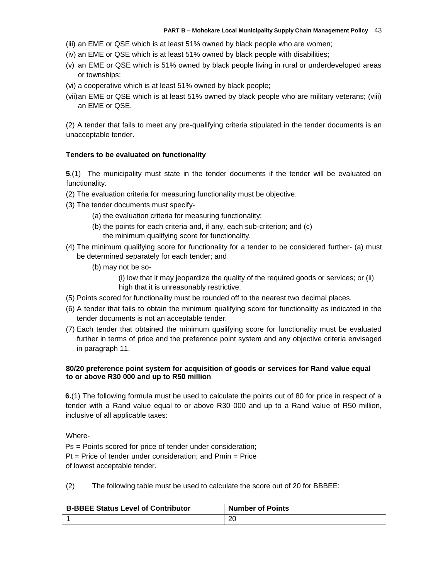(iii) an EME or QSE which is at least 51% owned by black people who are women;

- (iv) an EME or QSE which is at least 51% owned by black people with disabilities;
- (v) an EME or QSE which is 51% owned by black people living in rural or underdeveloped areas or townships;
- (vi) a cooperative which is at least 51% owned by black people;
- (vii)an EME or QSE which is at least 51% owned by black people who are military veterans; (viii) an EME or QSE.

(2) A tender that fails to meet any pre-qualifying criteria stipulated in the tender documents is an unacceptable tender.

#### **Tenders to be evaluated on functionality**

**5**.(1) The municipality must state in the tender documents if the tender will be evaluated on functionality.

- (2) The evaluation criteria for measuring functionality must be objective.
- (3) The tender documents must specify-
	- (a) the evaluation criteria for measuring functionality;
	- (b) the points for each criteria and, if any, each sub-criterion; and (c) the minimum qualifying score for functionality.
- (4) The minimum qualifying score for functionality for a tender to be considered further- (a) must be determined separately for each tender; and
	- (b) may not be so-

(i) low that it may jeopardize the quality of the required goods or services; or (ii) high that it is unreasonably restrictive.

- (5) Points scored for functionality must be rounded off to the nearest two decimal places.
- (6) A tender that fails to obtain the minimum qualifying score for functionality as indicated in the tender documents is not an acceptable tender.
- (7) Each tender that obtained the minimum qualifying score for functionality must be evaluated further in terms of price and the preference point system and any objective criteria envisaged in paragraph 11.

#### **80/20 preference point system for acquisition of goods or services for Rand value equal to or above R30 000 and up to R50 million**

**6.**(1) The following formula must be used to calculate the points out of 80 for price in respect of a tender with a Rand value equal to or above R30 000 and up to a Rand value of R50 million, inclusive of all applicable taxes:

Where-

Ps = Points scored for price of tender under consideration;  $Pt = Price$  of tender under consideration; and  $Pmin = Price$ of lowest acceptable tender.

(2) The following table must be used to calculate the score out of 20 for BBBEE:

| <b>B-BBEE Status Level of Contributor</b> | <b>Number of Points</b> |
|-------------------------------------------|-------------------------|
|                                           | 20                      |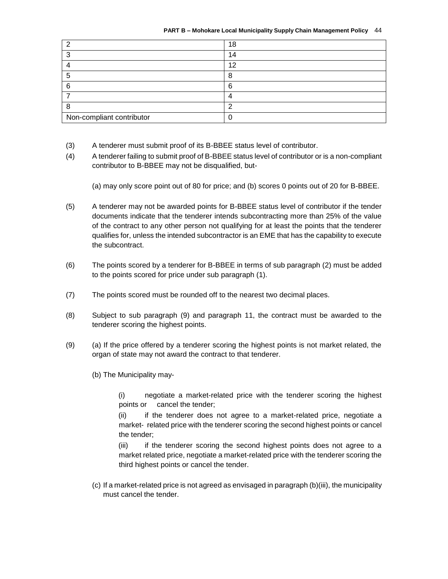| C                         | 18 |
|---------------------------|----|
| c                         | 14 |
|                           | 12 |
| Э                         | 8  |
| 6                         | -6 |
|                           |    |
| 8                         | c  |
| Non-compliant contributor |    |

- (3) A tenderer must submit proof of its B-BBEE status level of contributor.
- (4) A tenderer failing to submit proof of B-BBEE status level of contributor or is a non-compliant contributor to B-BBEE may not be disqualified, but-

(a) may only score point out of 80 for price; and (b) scores 0 points out of 20 for B-BBEE.

- (5) A tenderer may not be awarded points for B-BBEE status level of contributor if the tender documents indicate that the tenderer intends subcontracting more than 25% of the value of the contract to any other person not qualifying for at least the points that the tenderer qualifies for, unless the intended subcontractor is an EME that has the capability to execute the subcontract.
- (6) The points scored by a tenderer for B-BBEE in terms of sub paragraph (2) must be added to the points scored for price under sub paragraph (1).
- (7) The points scored must be rounded off to the nearest two decimal places.
- (8) Subject to sub paragraph (9) and paragraph 11, the contract must be awarded to the tenderer scoring the highest points.
- (9) (a) If the price offered by a tenderer scoring the highest points is not market related, the organ of state may not award the contract to that tenderer.
	- (b) The Municipality may-

(i) negotiate a market-related price with the tenderer scoring the highest points or cancel the tender;

(ii) if the tenderer does not agree to a market-related price, negotiate a market- related price with the tenderer scoring the second highest points or cancel the tender;

(iii) if the tenderer scoring the second highest points does not agree to a market related price, negotiate a market-related price with the tenderer scoring the third highest points or cancel the tender.

(c) If a market-related price is not agreed as envisaged in paragraph (b)(iii), the municipality must cancel the tender.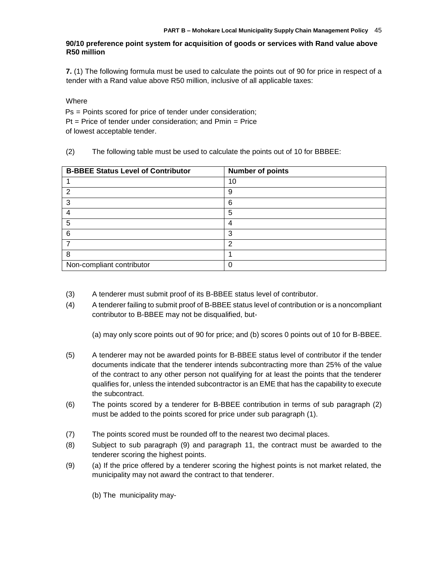## **90/10 preference point system for acquisition of goods or services with Rand value above R50 million**

**7.** (1) The following formula must be used to calculate the points out of 90 for price in respect of a tender with a Rand value above R50 million, inclusive of all applicable taxes:

**Where** 

Ps = Points scored for price of tender under consideration;  $Pt = Price$  of tender under consideration; and  $Pmin = Price$ of lowest acceptable tender.

(2) The following table must be used to calculate the points out of 10 for BBBEE:

| <b>B-BBEE Status Level of Contributor</b> | <b>Number of points</b> |
|-------------------------------------------|-------------------------|
|                                           | 10                      |
| 2                                         | 9                       |
| 3                                         | 6                       |
|                                           | 5                       |
| 5                                         | 4                       |
| 6                                         | 3                       |
|                                           | ົ                       |
| 8                                         |                         |
| Non-compliant contributor                 | 0                       |

- (3) A tenderer must submit proof of its B-BBEE status level of contributor.
- (4) A tenderer failing to submit proof of B-BBEE status level of contribution or is a noncompliant contributor to B-BBEE may not be disqualified, but-

(a) may only score points out of 90 for price; and (b) scores 0 points out of 10 for B-BBEE.

- (5) A tenderer may not be awarded points for B-BBEE status level of contributor if the tender documents indicate that the tenderer intends subcontracting more than 25% of the value of the contract to any other person not qualifying for at least the points that the tenderer qualifies for, unless the intended subcontractor is an EME that has the capability to execute the subcontract.
- (6) The points scored by a tenderer for B-BBEE contribution in terms of sub paragraph (2) must be added to the points scored for price under sub paragraph (1).
- (7) The points scored must be rounded off to the nearest two decimal places.
- (8) Subject to sub paragraph (9) and paragraph 11, the contract must be awarded to the tenderer scoring the highest points.
- (9) (a) If the price offered by a tenderer scoring the highest points is not market related, the municipality may not award the contract to that tenderer.
	- (b) The municipality may-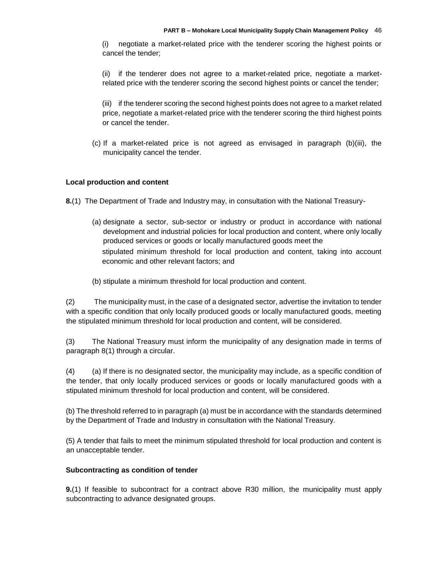(i) negotiate a market-related price with the tenderer scoring the highest points or cancel the tender;

(ii) if the tenderer does not agree to a market-related price, negotiate a marketrelated price with the tenderer scoring the second highest points or cancel the tender;

(iii) if the tenderer scoring the second highest points does not agree to a market related price, negotiate a market-related price with the tenderer scoring the third highest points or cancel the tender.

(c) If a market-related price is not agreed as envisaged in paragraph (b)(iii), the municipality cancel the tender.

## **Local production and content**

**8.**(1) The Department of Trade and Industry may, in consultation with the National Treasury-

- (a) designate a sector, sub-sector or industry or product in accordance with national development and industrial policies for local production and content, where only locally produced services or goods or locally manufactured goods meet the stipulated minimum threshold for local production and content, taking into account economic and other relevant factors; and
- (b) stipulate a minimum threshold for local production and content.

(2) The municipality must, in the case of a designated sector, advertise the invitation to tender with a specific condition that only locally produced goods or locally manufactured goods, meeting the stipulated minimum threshold for local production and content, will be considered.

(3) The National Treasury must inform the municipality of any designation made in terms of paragraph 8(1) through a circular.

(4) (a) If there is no designated sector, the municipality may include, as a specific condition of the tender, that only locally produced services or goods or locally manufactured goods with a stipulated minimum threshold for local production and content, will be considered.

(b) The threshold referred to in paragraph (a) must be in accordance with the standards determined by the Department of Trade and Industry in consultation with the National Treasury.

(5) A tender that fails to meet the minimum stipulated threshold for local production and content is an unacceptable tender.

#### **Subcontracting as condition of tender**

**9.**(1) If feasible to subcontract for a contract above R30 million, the municipality must apply subcontracting to advance designated groups.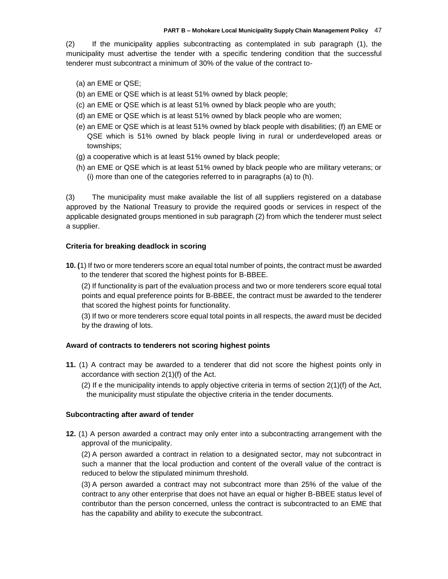(2) If the municipality applies subcontracting as contemplated in sub paragraph (1), the municipality must advertise the tender with a specific tendering condition that the successful tenderer must subcontract a minimum of 30% of the value of the contract to-

- (a) an EME or QSE;
- (b) an EME or QSE which is at least 51% owned by black people;
- (c) an EME or QSE which is at least 51% owned by black people who are youth;
- (d) an EME or QSE which is at least 51% owned by black people who are women;
- (e) an EME or QSE which is at least 51% owned by black people with disabilities; (f) an EME or QSE which is 51% owned by black people living in rural or underdeveloped areas or townships;
- (g) a cooperative which is at least 51% owned by black people;
- (h) an EME or QSE which is at least 51% owned by black people who are military veterans; or (i) more than one of the categories referred to in paragraphs (a) to (h).

(3) The municipality must make available the list of all suppliers registered on a database approved by the National Treasury to provide the required goods or services in respect of the applicable designated groups mentioned in sub paragraph (2) from which the tenderer must select a supplier.

#### **Criteria for breaking deadlock in scoring**

**10. (**1) If two or more tenderers score an equal total number of points, the contract must be awarded to the tenderer that scored the highest points for B-BBEE.

(2) If functionality is part of the evaluation process and two or more tenderers score equal total points and equal preference points for B-BBEE, the contract must be awarded to the tenderer that scored the highest points for functionality.

(3) If two or more tenderers score equal total points in all respects, the award must be decided by the drawing of lots.

#### **Award of contracts to tenderers not scoring highest points**

- **11.** (1) A contract may be awarded to a tenderer that did not score the highest points only in accordance with section 2(1)(f) of the Act.
	- (2) If e the municipality intends to apply objective criteria in terms of section  $2(1)(f)$  of the Act, the municipality must stipulate the objective criteria in the tender documents.

#### **Subcontracting after award of tender**

**12.** (1) A person awarded a contract may only enter into a subcontracting arrangement with the approval of the municipality.

(2) A person awarded a contract in relation to a designated sector, may not subcontract in such a manner that the local production and content of the overall value of the contract is reduced to below the stipulated minimum threshold.

(3) A person awarded a contract may not subcontract more than 25% of the value of the contract to any other enterprise that does not have an equal or higher B-BBEE status level of contributor than the person concerned, unless the contract is subcontracted to an EME that has the capability and ability to execute the subcontract.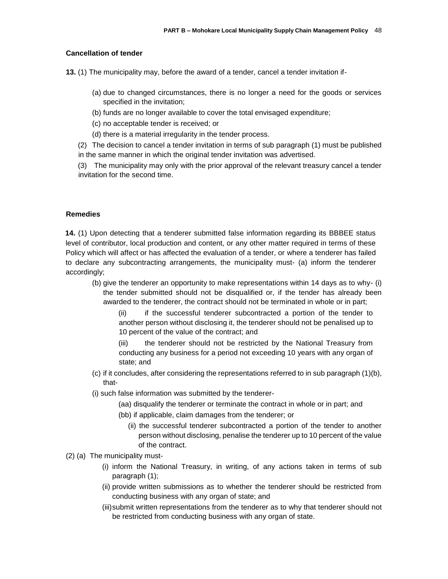#### **Cancellation of tender**

**13.** (1) The municipality may, before the award of a tender, cancel a tender invitation if-

- (a) due to changed circumstances, there is no longer a need for the goods or services specified in the invitation;
- (b) funds are no longer available to cover the total envisaged expenditure;
- (c) no acceptable tender is received; or
- (d) there is a material irregularity in the tender process.

(2) The decision to cancel a tender invitation in terms of sub paragraph (1) must be published in the same manner in which the original tender invitation was advertised.

(3) The municipality may only with the prior approval of the relevant treasury cancel a tender invitation for the second time.

#### **Remedies**

**14.** (1) Upon detecting that a tenderer submitted false information regarding its BBBEE status level of contributor, local production and content, or any other matter required in terms of these Policy which will affect or has affected the evaluation of a tender, or where a tenderer has failed to declare any subcontracting arrangements, the municipality must- (a) inform the tenderer accordingly;

(b) give the tenderer an opportunity to make representations within 14 days as to why- (i) the tender submitted should not be disqualified or, if the tender has already been awarded to the tenderer, the contract should not be terminated in whole or in part;

(ii) if the successful tenderer subcontracted a portion of the tender to another person without disclosing it, the tenderer should not be penalised up to 10 percent of the value of the contract; and

(iii) the tenderer should not be restricted by the National Treasury from conducting any business for a period not exceeding 10 years with any organ of state; and

- (c) if it concludes, after considering the representations referred to in sub paragraph (1)(b), that-
- (i) such false information was submitted by the tenderer-
	- (aa) disqualify the tenderer or terminate the contract in whole or in part; and
	- (bb) if applicable, claim damages from the tenderer; or
		- (ii) the successful tenderer subcontracted a portion of the tender to another person without disclosing, penalise the tenderer up to 10 percent of the value of the contract.
- (2) (a) The municipality must-
	- (i) inform the National Treasury, in writing, of any actions taken in terms of sub paragraph (1);
	- (ii) provide written submissions as to whether the tenderer should be restricted from conducting business with any organ of state; and
	- (iii)submit written representations from the tenderer as to why that tenderer should not be restricted from conducting business with any organ of state.